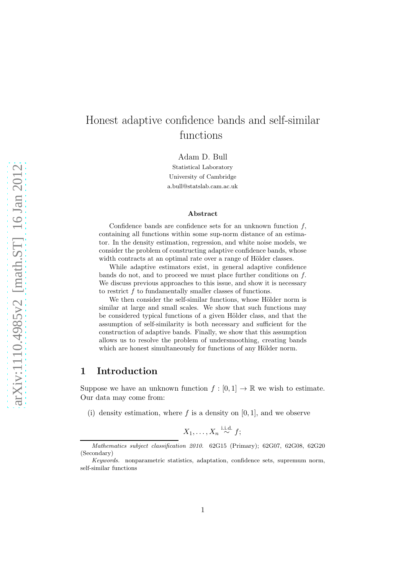# Honest adaptive confidence bands and self-similar functions

Adam D. Bull

Statistical Laboratory University of Cambridge a.bull@statslab.cam.ac.uk

#### Abstract

Confidence bands are confidence sets for an unknown function  $f$ , containing all functions within some sup-norm distance of an estimator. In the density estimation, regression, and white noise models, we consider the problem of constructing adaptive confidence bands, whose width contracts at an optimal rate over a range of Hölder classes.

While adaptive estimators exist, in general adaptive confidence bands do not, and to proceed we must place further conditions on f. We discuss previous approaches to this issue, and show it is necessary to restrict f to fundamentally smaller classes of functions.

We then consider the self-similar functions, whose Hölder norm is similar at large and small scales. We show that such functions may be considered typical functions of a given Hölder class, and that the assumption of self-similarity is both necessary and sufficient for the construction of adaptive bands. Finally, we show that this assumption allows us to resolve the problem of undersmoothing, creating bands which are honest simultaneously for functions of any Hölder norm.

### 1 Introduction

Suppose we have an unknown function  $f : [0,1] \to \mathbb{R}$  we wish to estimate. Our data may come from:

(i) density estimation, where f is a density on  $[0, 1]$ , and we observe

$$
X_1,\ldots,X_n \overset{\text{i.i.d.}}{\sim} f;
$$

Mathematics subject classification 2010. 62G15 (Primary); 62G07, 62G08, 62G20 (Secondary)

Keywords. nonparametric statistics, adaptation, confidence sets, supremum norm, self-similar functions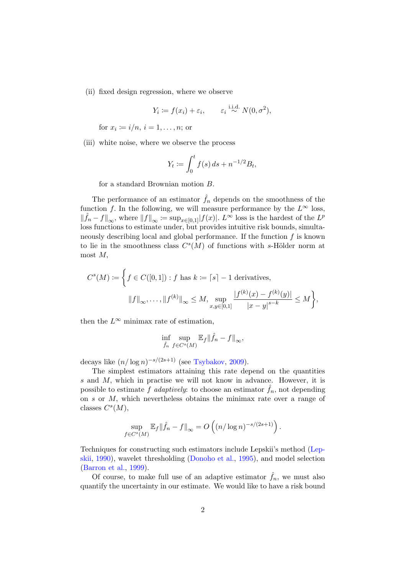(ii) fixed design regression, where we observe

$$
Y_i := f(x_i) + \varepsilon_i, \qquad \varepsilon_i \stackrel{\text{i.i.d.}}{\sim} N(0, \sigma^2),
$$

for  $x_i \coloneqq i/n, i = 1, \ldots, n;$  or

(iii) white noise, where we observe the process

$$
Y_t := \int_0^t f(s) \, ds + n^{-1/2} B_t,
$$

for a standard Brownian motion B.

The performance of an estimator  $\hat{f}_n$  depends on the smoothness of the function f. In the following, we will measure performance by the  $L^{\infty}$  loss,  $\|\hat{f}_n - f\|_{\infty}$ , where  $||f||_{\infty} := \sup_{x \in [0,1]} |f(x)|$ .  $L^{\infty}$  loss is the hardest of the  $L^p$ loss functions to estimate under, but provides intuitive risk bounds, simultaneously describing local and global performance. If the function  $f$  is known to lie in the smoothness class  $C<sup>s</sup>(M)$  of functions with s-Hölder norm at most  $M$ ,

$$
C^{s}(M) := \left\{ f \in C([0,1]) : f \text{ has } k := \lceil s \rceil - 1 \text{ derivatives,}
$$

$$
\|f\|_{\infty}, \dots, \|f^{(k)}\|_{\infty} \le M, \sup_{x,y \in [0,1]} \frac{|f^{(k)}(x) - f^{(k)}(y)|}{|x - y|^{s - k}} \le M \right\},\
$$

then the  $L^{\infty}$  minimax rate of estimation,

$$
\inf_{\hat{f}_n} \sup_{f \in C^s(M)} \mathbb{E}_f ||\hat{f}_n - f||_{\infty},
$$

decays like  $(n/\log n)^{-s/(2s+1)}$  (see [Tsybakov](#page-28-0), [2009\)](#page-28-0).

The simplest estimators attaining this rate depend on the quantities s and M, which in practise we will not know in advance. However, it is possible to estimate f adaptively: to choose an estimator  $\hat{f}_n$ , not depending on s or M, which nevertheless obtains the minimax rate over a range of classes  $C<sup>s</sup>(M)$ ,

$$
\sup_{f \in C^{s}(M)} \mathbb{E}_{f} \|\hat{f}_{n} - f\|_{\infty} = O\left((n/\log n)^{-s/(2s+1)}\right).
$$

Te[chniques for constructing such estimators include Lepskii's method \(](#page-28-1)Lepskii, [1990](#page-28-1)), wavelet thresholding [\(Donoho et al.,](#page-28-2) [1995](#page-28-2)), and model selection [\(Barron et al.](#page-27-0), [1999](#page-27-0)).

Of course, to make full use of an adaptive estimator  $\hat{f}_n$ , we must also quantify the uncertainty in our estimate. We would like to have a risk bound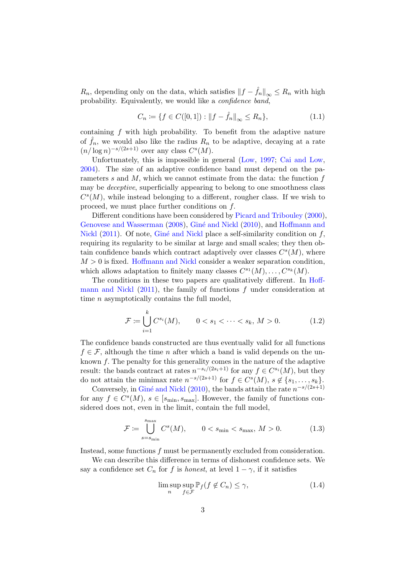$R_n$ , depending only on the data, which satisfies  $||f - \hat{f}_n||_{\infty} \leq R_n$  with high probability. Equivalently, we would like a confidence band,

<span id="page-2-3"></span>
$$
C_n := \{ f \in C([0,1]) : ||f - \hat{f}_n||_{\infty} \le R_n \},
$$
\n(1.1)

containing  $f$  with high probability. To benefit from the adaptive nature of  $\hat{f}_n$ , we would also like the radius  $R_n$  to be adaptive, decaying at a rate  $(n/\log n)^{-s/(2s+1)}$  over any class  $C^{s}(M)$ .

Unfortunately, this is impossible in general [\(Low](#page-28-3), [1997;](#page-28-3) [Cai and Low](#page-27-1), [2004](#page-27-1)). The size of an adaptive confidence band must depend on the parameters s and  $M$ , which we cannot estimate from the data: the function  $f$ may be deceptive, superficially appearing to belong to one smoothness class  $C<sup>s</sup>(M)$ , while instead belonging to a different, rougher class. If we wish to proceed, we must place further conditions on f.

Different conditions have been considered by [Picard and Tribouley](#page-28-4) [\(2000\)](#page-28-4), [Genovese and Wasserman](#page-28-5) [\(2008](#page-28-5)), Giné and Nickl [\(2010](#page-28-6)), and Hoffmann and Nickl  $(2011)$ . Of note, Giné and Nickl place a self-similarity condition on f, requiring its regularity to be similar at large and small scales; they then obtain confidence bands which contract adaptively over classes  $C<sup>s</sup>(M)$ , where  $M > 0$  is fixed. [Hoffmann and Nickl](#page-28-7) consider a weaker separation condition, which allows adaptation to finitely many classes  $C^{s_1}(M), \ldots, C^{s_k}(M)$ .

The conditio[ns in these two papers are qualitatively different. In](#page-28-7) Hoffmann and Nickl  $(2011)$ , the family of functions f under consideration at time n asymptotically contains the full model,

<span id="page-2-0"></span>
$$
\mathcal{F} := \bigcup_{i=1}^{k} C^{s_i}(M), \qquad 0 < s_1 < \dots < s_k, \, M > 0. \tag{1.2}
$$

The confidence bands constructed are thus eventually valid for all functions  $f \in \mathcal{F}$ , although the time *n* after which a band is valid depends on the unknown  $f$ . The penalty for this generality comes in the nature of the adaptive result: the bands contract at rates  $n^{-s_i/(2s_i+1)}$  for any  $f \in C^{s_i}(M)$ , but they do not attain the minimax rate  $n^{-s/(2s+1)}$  for  $f \in C^{s}(M)$ ,  $s \notin \{s_1, \ldots, s_k\}$ .

Conversely, in Giné and Nickl [\(2010\)](#page-28-6), the bands attain the rate  $n^{-s/(2s+1)}$ for any  $f \in C^{s}(M)$ ,  $s \in [s_{\min}, s_{\max}]$ . However, the family of functions considered does not, even in the limit, contain the full model,

<span id="page-2-1"></span>
$$
\mathcal{F} := \bigcup_{s=s_{\min}}^{s_{\max}} C^s(M), \qquad 0 < s_{\min} < s_{\max}, \, M > 0. \tag{1.3}
$$

Instead, some functions f must be permanently excluded from consideration.

We can describe this difference in terms of dishonest confidence sets. We say a confidence set  $C_n$  for f is honest, at level  $1 - \gamma$ , if it satisfies

<span id="page-2-2"></span>
$$
\limsup_{n} \sup_{f \in \mathcal{F}} \mathbb{P}_f(f \notin C_n) \le \gamma,
$$
\n(1.4)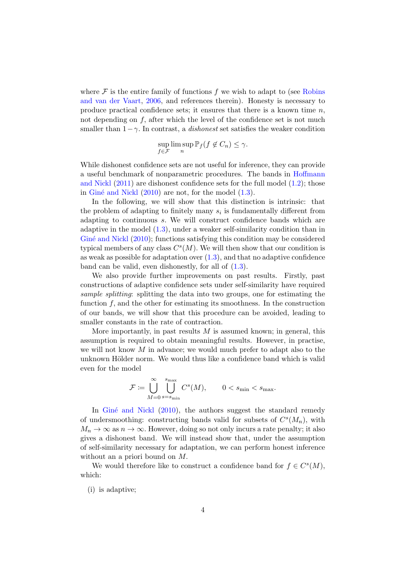where  $\mathcal F$  is the entire family of functions f [we wish to adapt to \(see](#page-28-8) Robins and van der Vaart, [2006,](#page-28-8) and references therein). Honesty is necessary to produce practical confidence sets; it ensures that there is a known time  $n$ , not depending on  $f$ , after which the level of the confidence set is not much smaller than  $1-\gamma$ . In contrast, a *dishonest* set satisfies the weaker condition

$$
\sup_{f \in \mathcal{F}} \limsup_n \mathbb{P}_f(f \notin C_n) \le \gamma.
$$

While dishonest confidence sets are not useful for inference, they can provide a useful [benchmark of nonparametric procedures. The bands in](#page-28-7) Hoffmann and Nickl [\(2011](#page-28-7)) are dishonest confidence sets for the full model [\(1.2\)](#page-2-0); those in Giné and Nickl  $(2010)$  are not, for the model  $(1.3)$ .

In the following, we will show that this distinction is intrinsic: that the problem of adapting to finitely many  $s_i$  is fundamentally different from adapting to continuous s. We will construct confidence bands which are adaptive in the model [\(1.3\)](#page-2-1), under a weaker self-similarity condition than in Giné and Nickl [\(2010\)](#page-28-6); functions satisfying this condition may be considered typical members of any class  $C<sup>s</sup>(M)$ . We will then show that our condition is as weak as possible for adaptation over  $(1.3)$ , and that no adaptive confidence band can be valid, even dishonestly, for all of [\(1.3\)](#page-2-1).

We also provide further improvements on past results. Firstly, past constructions of adaptive confidence sets under self-similarity have required sample splitting: splitting the data into two groups, one for estimating the function  $f$ , and the other for estimating its smoothness. In the construction of our bands, we will show that this procedure can be avoided, leading to smaller constants in the rate of contraction.

More importantly, in past results  $M$  is assumed known; in general, this assumption is required to obtain meaningful results. However, in practise, we will not know  $M$  in advance; we would much prefer to adapt also to the unknown Hölder norm. We would thus like a confidence band which is valid even for the model

$$
\mathcal{F} \coloneqq \bigcup_{M=0}^{\infty} \bigcup_{s=s_{\min}}^{s_{\max}} C^s(M), \qquad 0 < s_{\min} < s_{\max}.
$$

In Giné and Nickl  $(2010)$  $(2010)$ , the authors suggest the standard remedy of undersmoothing: constructing bands valid for subsets of  $C<sup>s</sup>(M<sub>n</sub>)$ , with  $M_n \to \infty$  as  $n \to \infty$ . However, doing so not only incurs a rate penalty; it also gives a dishonest band. We will instead show that, under the assumption of self-similarity necessary for adaptation, we can perform honest inference without an a priori bound on M.

We would therefore like to construct a confidence band for  $f \in C<sup>s</sup>(M)$ , which:

(i) is adaptive;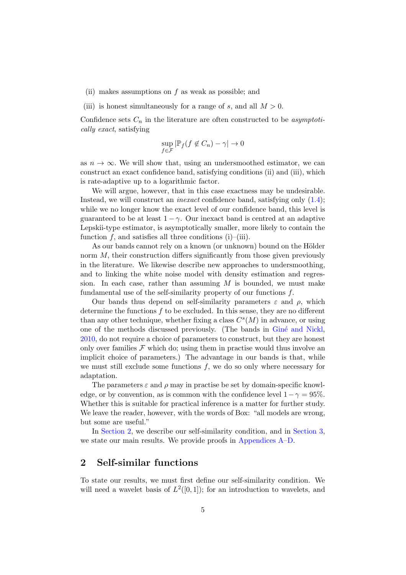- (ii) makes assumptions on f as weak as possible; and
- (iii) is honest simultaneously for a range of s, and all  $M > 0$ .

Confidence sets  $C_n$  in the literature are often constructed to be asymptotically exact, satisfying

$$
\sup_{f \in \mathcal{F}} |\mathbb{P}_f(f \notin C_n) - \gamma| \to 0
$$

as  $n \to \infty$ . We will show that, using an undersmoothed estimator, we can construct an exact confidence band, satisfying conditions (ii) and (iii), which is rate-adaptive up to a logarithmic factor.

We will argue, however, that in this case exactness may be undesirable. Instead, we will construct an *inexact* confidence band, satisfying only  $(1.4)$ ; while we no longer know the exact level of our confidence band, this level is guaranteed to be at least  $1 - \gamma$ . Our inexact band is centred at an adaptive Lepskii-type estimator, is asymptotically smaller, more likely to contain the function f, and satisfies all three conditions  $(i)$ – $(iii)$ .

As our bands cannot rely on a known (or unknown) bound on the Hölder norm M, their construction differs significantly from those given previously in the literature. We likewise describe new approaches to undersmoothing, and to linking the white noise model with density estimation and regression. In each case, rather than assuming  $M$  is bounded, we must make fundamental use of the self-similarity property of our functions f.

Our bands thus depend on self-similarity parameters  $\varepsilon$  and  $\rho$ , which determine the functions  $f$  to be excluded. In this sense, they are no different than any other technique, whether fixing a class  $C<sup>s</sup>(M)$  in advance, or using one of the methods discussed previously. (The bands in Giné and Nickl, [2010](#page-28-6), do not require a choice of parameters to construct, but they are honest only over families  $\mathcal F$  which do; using them in practise would thus involve an implicit choice of parameters.) The advantage in our bands is that, while we must still exclude some functions  $f$ , we do so only where necessary for adaptation.

The parameters  $\varepsilon$  and  $\rho$  may in practise be set by domain-specific knowledge, or by convention, as is common with the confidence level  $1-\gamma = 95\%$ . Whether this is suitable for practical inference is a matter for further study. We leave the reader, however, with the words of Box: "all models are wrong, but some are useful."

In [Section 2,](#page-4-0) we describe our self-similarity condition, and in [Section 3,](#page-7-0) we state our main results. We provide proofs in Appendices [A](#page-11-0)[–D.](#page-23-0)

### <span id="page-4-0"></span>2 Self-similar functions

To state our results, we must first define our self-similarity condition. We will need a wavelet basis of  $L^2([0,1])$ ; for an introduction to wavelets, and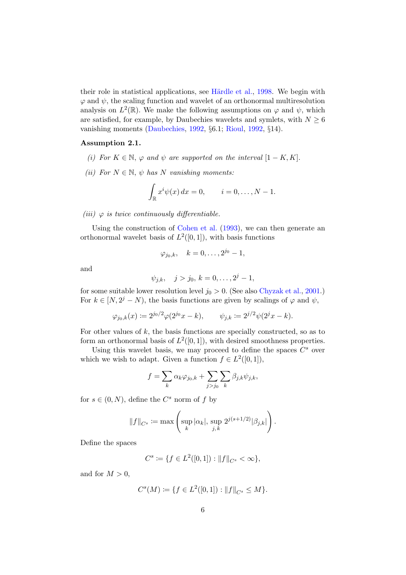their role in statistical applications, see Härdle et al., [1998](#page-28-9). We begin with  $\varphi$  and  $\psi$ , the scaling function and wavelet of an orthonormal multiresolution analysis on  $L^2(\mathbb{R})$ . We make the following assumptions on  $\varphi$  and  $\psi$ , which are satisfied, for example, by Daubechies wavelets and symlets, with  $N \geq 6$ vanishing moments [\(Daubechies](#page-28-10), [1992,](#page-28-10) §6.1; [Rioul,](#page-28-11) [1992](#page-28-11), §14).

#### Assumption 2.1.

- (i) For  $K \in \mathbb{N}$ ,  $\varphi$  and  $\psi$  are supported on the interval  $[1 K, K]$ .
- (ii) For  $N \in \mathbb{N}$ ,  $\psi$  has N vanishing moments:

$$
\int_{\mathbb{R}} x^i \psi(x) dx = 0, \qquad i = 0, \dots, N - 1.
$$

(iii)  $\varphi$  is twice continuously differentiable.

Using the construction of [Cohen et al.](#page-28-12) [\(1993](#page-28-12)), we can then generate an orthonormal wavelet basis of  $L^2([0,1])$ , with basis functions

$$
\varphi_{j_0,k}, \quad k=0,\ldots, 2^{j_0}-1,
$$

and

$$
\psi_{j,k}, \quad j > j_0, k = 0, \ldots, 2^j - 1,
$$

for some suitable lower resolution level  $j_0 > 0$ . (See also [Chyzak et al.](#page-27-2), [2001.](#page-27-2)) For  $k \in [N, 2^j - N)$ , the basis functions are given by scalings of  $\varphi$  and  $\psi$ ,

$$
\varphi_{j_0,k}(x) \coloneqq 2^{j_0/2} \varphi(2^{j_0}x - k), \qquad \psi_{j,k} \coloneqq 2^{j/2} \psi(2^j x - k).
$$

For other values of  $k$ , the basis functions are specially constructed, so as to form an orthonormal basis of  $L^2([0,1])$ , with desired smoothness properties.

Using this wavelet basis, we may proceed to define the spaces  $C^s$  over which we wish to adapt. Given a function  $f \in L^2([0,1]),$ 

$$
f = \sum_{k} \alpha_k \varphi_{j_0,k} + \sum_{j>j_0} \sum_{k} \beta_{j,k} \psi_{j,k},
$$

for  $s \in (0, N)$ , define the  $C<sup>s</sup>$  norm of  $f$  by

$$
||f||_{C^s} := \max \left( \sup_k |\alpha_k|, \sup_{j,k} 2^{j(s+1/2)} |\beta_{j,k}| \right).
$$

Define the spaces

$$
C^s := \{ f \in L^2([0,1]) : ||f||_{C^s} < \infty \},\
$$

and for  $M > 0$ ,

$$
C^{s}(M) := \{ f \in L^{2}([0,1]) : ||f||_{C^{s}} \leq M \}.
$$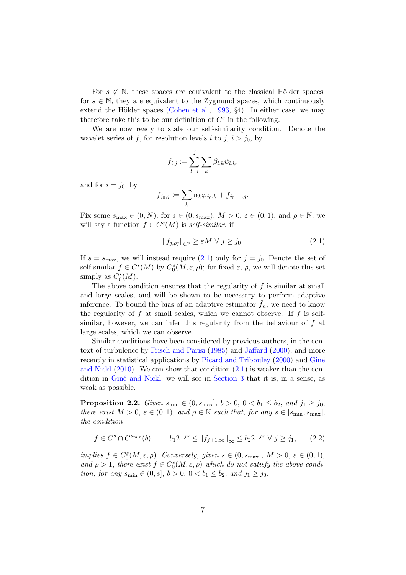For  $s \notin \mathbb{N}$ , these spaces are equivalent to the classical Hölder spaces; for  $s \in \mathbb{N}$ , they are equivalent to the Zygmund spaces, which continuously extend the Hölder spaces [\(Cohen et al.,](#page-28-12)  $1993, §4$  $1993, §4$ ). In either case, we may therefore take this to be our definition of  $C^s$  in the following.

We are now ready to state our self-similarity condition. Denote the wavelet series of f, for resolution levels i to j,  $i > j_0$ , by

$$
f_{i,j} := \sum_{l=i}^j \sum_k \beta_{l,k} \psi_{l,k},
$$

and for  $i = j_0$ , by

$$
f_{j_0,j} := \sum_k \alpha_k \varphi_{j_0,k} + f_{j_0+1,j}.
$$

Fix some  $s_{\text{max}} \in (0, N)$ ; for  $s \in (0, s_{\text{max}})$ ,  $M > 0$ ,  $\varepsilon \in (0, 1)$ , and  $\rho \in \mathbb{N}$ , we will say a function  $f \in C^{s}(M)$  is self-similar, if

<span id="page-6-0"></span>
$$
||f_{j,\rho j}||_{C^s} \ge \varepsilon M \ \forall \ j \ge j_0. \tag{2.1}
$$

If  $s = s_{\text{max}}$ , we will instead require  $(2.1)$  only for  $j = j_0$ . Denote the set of self-similar  $f \in C^{s}(M)$  by  $C_0^{s}(M, \varepsilon, \rho)$ ; for fixed  $\varepsilon$ ,  $\rho$ , we will denote this set simply as  $C_0^s(M)$ .

The above condition ensures that the regularity of  $f$  is similar at small and large scales, and will be shown to be necessary to perform adaptive inference. To bound the bias of an adaptive estimator  $f_n$ , we need to know the regularity of  $f$  at small scales, which we cannot observe. If  $f$  is selfsimilar, however, we can infer this regularity from the behaviour of  $f$  at large scales, which we can observe.

Similar conditions have been considered by previous authors, in the context of turbulence by [Frisch and Parisi](#page-28-13) [\(1985\)](#page-28-13) and [Jaffard](#page-28-14) [\(2000\)](#page-28-14), and more recentlyi[n statistical applications by](#page-28-6) [Picard and Tribouley](#page-28-4) [\(2000](#page-28-4)) and Giné and Nickl  $(2010)$  $(2010)$ . We can show that condition  $(2.1)$  is weaker than the con-dition in Giné and Nickl; we will see in [Section 3](#page-7-0) that it is, in a sense, as weak as possible.

<span id="page-6-2"></span>**Proposition 2.2.** Given  $s_{\text{min}} \in (0, s_{\text{max}}], b > 0, 0 < b_1 \leq b_2, and j_1 \geq j_0$ there exist  $M > 0$ ,  $\varepsilon \in (0, 1)$ , and  $\rho \in \mathbb{N}$  such that, for any  $s \in [s_{\min}, s_{\max}]$ , the condition

<span id="page-6-1"></span>
$$
f \in C^s \cap C^{s_{\min}}(b), \qquad b_1 2^{-js} \le ||f_{j+1,\infty}||_{\infty} \le b_2 2^{-js} \ \forall \ j \ge j_1,
$$
 (2.2)

implies  $f \in C_0^s(M,\varepsilon,\rho)$ . Conversely, given  $s \in (0, s_{\text{max}}], M > 0, \varepsilon \in (0,1),$ and  $\rho > 1$ , there exist  $f \in C_0^s(M, \varepsilon, \rho)$  which do not satisfy the above condition, for any  $s_{\min} \in (0, s], b > 0, 0 < b_1 \leq b_2$ , and  $j_1 \geq j_0$ .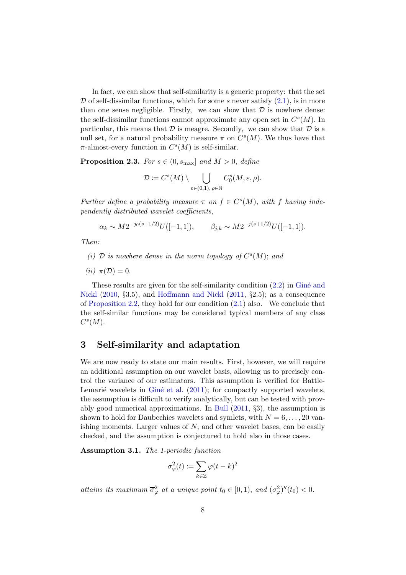In fact, we can show that self-similarity is a generic property: that the set  $\mathcal D$  of self-dissimilar functions, which for some s never satisfy  $(2.1)$ , is in more than one sense negligible. Firstly, we can show that  $\mathcal D$  is nowhere dense: the self-dissimilar functions cannot approximate any open set in  $C<sup>s</sup>(M)$ . In particular, this means that  $\mathcal D$  is meagre. Secondly, we can show that  $\mathcal D$  is a null set, for a natural probability measure  $\pi$  on  $C<sup>s</sup>(M)$ . We thus have that  $\pi$ -almost-every function in  $C<sup>s</sup>(M)$  is self-similar.

**Proposition 2.3.** For  $s \in (0, s_{\text{max}}]$  and  $M > 0$ , define

$$
\mathcal{D}:=C^s(M)\setminus\bigcup_{\varepsilon\in (0,1),\, \rho\in\mathbb{N}}C^s_0(M,\varepsilon,\rho).
$$

Further define a probability measure  $\pi$  on  $f \in C^{s}(M)$ , with f having independently distributed wavelet coefficients,

 $\alpha_k \sim M 2^{-j_0(s+1/2)} U([-1,1]), \qquad \beta_{j,k} \sim M 2^{-j(s+1/2)} U([-1,1]).$ 

Then:

- (i)  $D$  is nowhere dense in the norm topology of  $C^{s}(M)$ ; and
- (*ii*)  $\pi(\mathcal{D}) = 0$ .

[These results are given for the self-similarity condition](#page-28-6)  $(2.2)$  [in](#page-28-6) Gine and Nickl [\(2010](#page-28-6), §3.5), and [Hoffmann and Nickl](#page-28-7) [\(2011,](#page-28-7) §2.5); as a consequence of [Proposition 2.2,](#page-6-2) they hold for our condition  $(2.1)$  also. We conclude that the self-similar functions may be considered typical members of any class  $C<sup>s</sup>(M)$ .

### <span id="page-7-0"></span>3 Self-similarity and adaptation

We are now ready to state our main results. First, however, we will require an additional assumption on our wavelet basis, allowing us to precisely control the variance of our estimators. This assumption is verified for Battle-Lemarie wavelets in Gine et al.  $(2011)$  $(2011)$ ; for compactly supported wavelets, the assumption is difficult to verify analytically, but can be tested with provably good numerical approximations. In [Bull](#page-27-3) [\(2011,](#page-27-3) §3), the assumption is shown to hold for Daubechies wavelets and symlets, with  $N = 6, \ldots, 20$  vanishing moments. Larger values of  $N$ , and other wavelet bases, can be easily checked, and the assumption is conjectured to hold also in those cases.

<span id="page-7-1"></span>Assumption 3.1. The 1-periodic function

$$
\sigma^2_\varphi(t)\coloneqq \sum_{k\in\mathbb{Z}}\varphi(t-k)^2
$$

attains its maximum  $\overline{\sigma}_{\varphi}^2$  at a unique point  $t_0 \in [0,1)$ , and  $(\sigma_{\varphi}^2)''(t_0) < 0$ .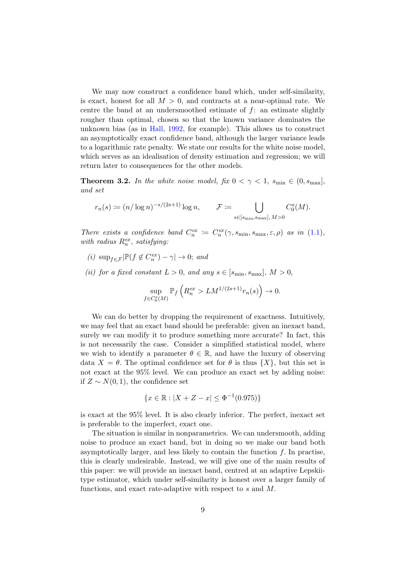We may now construct a confidence band which, under self-similarity, is exact, honest for all  $M > 0$ , and contracts at a near-optimal rate. We centre the band at an undersmoothed estimate of  $f$ : an estimate slightly rougher than optimal, chosen so that the known variance dominates the unknown bias (as in [Hall,](#page-28-16) [1992,](#page-28-16) for example). This allows us to construct an asymptotically exact confidence band, although the larger variance leads to a logarithmic rate penalty. We state our results for the white noise model, which serves as an idealisation of density estimation and regression; we will return later to consequences for the other models.

<span id="page-8-0"></span>**Theorem 3.2.** In the white noise model, fix  $0 < \gamma < 1$ , s<sub>min</sub>  $\in (0, s_{\text{max}}]$ , and set

$$
r_n(s) \coloneqq (n/\log n)^{-s/(2s+1)} \log n, \qquad \mathcal{F} \coloneqq \bigcup_{s \in [s_{\min}, s_{\max}], M > 0} C_0^s(M).
$$

There exists a confidence band  $C_n^{ex} := C_n^{ex}(\gamma, s_{\min}, s_{\max}, \varepsilon, \rho)$  as in [\(1.1\)](#page-2-3), with radius  $R_n^{ex}$ , satisfying:

- (*i*)  $\sup_{f \in \mathcal{F}} |\mathbb{P}(f \notin C_n^{ex}) \gamma| \to 0;$  and
- (ii) for a fixed constant  $L > 0$ , and any  $s \in [s_{\min}, s_{\max}]$ ,  $M > 0$ ,

$$
\sup_{f \in C_0^s(M)} \mathbb{P}_f \left( R_n^{ex} > LM^{1/(2s+1)} r_n(s) \right) \to 0.
$$

We can do better by dropping the requirement of exactness. Intuitively, we may feel that an exact band should be preferable: given an inexact band, surely we can modify it to produce something more accurate? In fact, this is not necessarily the case. Consider a simplified statistical model, where we wish to identify a parameter  $\theta \in \mathbb{R}$ , and have the luxury of observing data  $X = \theta$ . The optimal confidence set for  $\theta$  is thus  $\{X\}$ , but this set is not exact at the 95% level. We can produce an exact set by adding noise: if  $Z \sim N(0, 1)$ , the confidence set

$$
\{x \in \mathbb{R} : |X + Z - x| \le \Phi^{-1}(0.975)\}
$$

is exact at the 95% level. It is also clearly inferior. The perfect, inexact set is preferable to the imperfect, exact one.

The situation is similar in nonparametrics. We can undersmooth, adding noise to produce an exact band, but in doing so we make our band both asymptotically larger, and less likely to contain the function  $f$ . In practise, this is clearly undesirable. Instead, we will give one of the main results of this paper: we will provide an inexact band, centred at an adaptive Lepskiitype estimator, which under self-similarity is honest over a larger family of functions, and exact rate-adaptive with respect to s and M.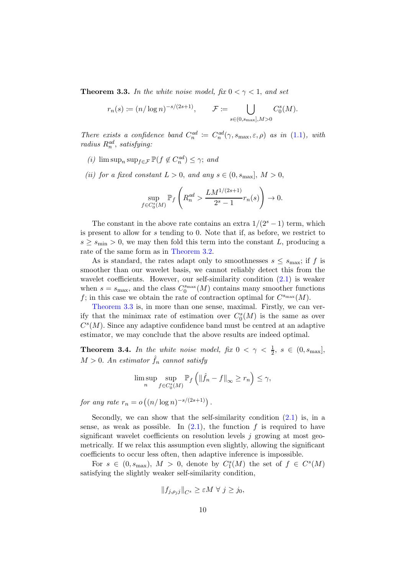<span id="page-9-0"></span>**Theorem 3.3.** In the white noise model, fix  $0 < \gamma < 1$ , and set

$$
r_n(s)\coloneqq (n/\log n)^{-s/(2s+1)},\qquad \mathcal{F}\coloneqq \bigcup_{s\in (0,s_{\max}],M>0} C_0^s(M).
$$

There exists a confidence band  $C_n^{ad} := C_n^{ad}(\gamma, s_{\text{max}}, \varepsilon, \rho)$  as in [\(1.1\)](#page-2-3), with  $radius R_n^{ad}, satisfying:$ 

- (*i*)  $\limsup_n \sup_{f \in \mathcal{F}} \mathbb{P}(f \notin C_n^{ad}) \leq \gamma$ ; and
- (ii) for a fixed constant  $L > 0$ , and any  $s \in (0, s_{\text{max}}], M > 0$ ,

$$
\sup_{f \in C_0^s(M)} \mathbb{P}_f \left( R_n^{ad} > \frac{LM^{1/(2s+1)}}{2^s - 1} r_n(s) \right) \to 0.
$$

The constant in the above rate contains an extra  $1/(2<sup>s</sup> - 1)$  term, which is present to allow for s tending to 0. Note that if, as before, we restrict to  $s \geq s_{\text{min}} > 0$ , we may then fold this term into the constant L, producing a rate of the same form as in [Theorem 3.2.](#page-8-0)

As is standard, the rates adapt only to smoothnesses  $s \leq s_{\text{max}}$ ; if f is smoother than our wavelet basis, we cannot reliably detect this from the wavelet coefficients. However, our self-similarity condition  $(2.1)$  is weaker when  $s = s_{\text{max}}$ , and the class  $C_0^{s_{\text{max}}}(M)$  contains many smoother functions f; in this case we obtain the rate of contraction optimal for  $C^{s_{\text{max}}}(M)$ .

[Theorem 3.3](#page-9-0) is, in more than one sense, maximal. Firstly, we can verify that the minimax rate of estimation over  $C_0^s(M)$  is the same as over  $C<sup>s</sup>(M)$ . Since any adaptive confidence band must be centred at an adaptive estimator, we may conclude that the above results are indeed optimal.

<span id="page-9-1"></span>**Theorem 3.4.** In the white noise model, fix  $0 < \gamma < \frac{1}{2}$ ,  $s \in (0, s_{\text{max}}]$ ,  $M > 0$ . An estimator  $\hat{f}_n$  cannot satisfy

$$
\limsup_{n} \sup_{f \in C_0^s(M)} \mathbb{P}_f \left( \|\hat{f}_n - f\|_{\infty} \ge r_n \right) \le \gamma,
$$

for any rate  $r_n = o\left((n/\log n)^{-s/(2s+1)}\right)$ .

Secondly, we can show that the self-similarity condition  $(2.1)$  is, in a sense, as weak as possible. In  $(2.1)$ , the function f is required to have significant wavelet coefficients on resolution levels  $j$  growing at most geometrically. If we relax this assumption even slightly, allowing the significant coefficients to occur less often, then adaptive inference is impossible.

For  $s \in (0, s_{\max})$ ,  $M > 0$ , denote by  $C_1^s(M)$  the set of  $f \in C^s(M)$ satisfying the slightly weaker self-similarity condition,

$$
||f_{j,\rho_jj}||_{C^s}\geq\varepsilon M\,\,\forall\,\,j\geq j_0,
$$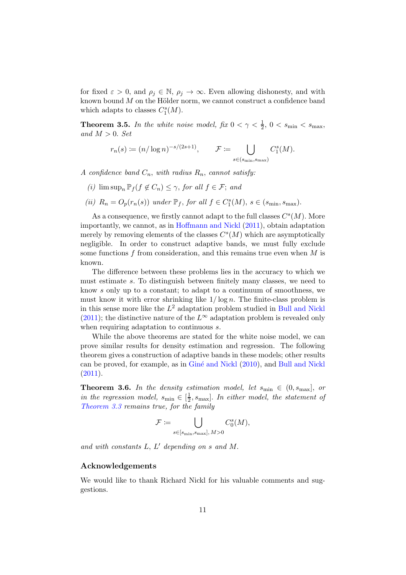for fixed  $\varepsilon > 0$ , and  $\rho_j \in \mathbb{N}$ ,  $\rho_j \to \infty$ . Even allowing dishonesty, and with known bound  $M$  on the Hölder norm, we cannot construct a confidence band which adapts to classes  $C_1^s(M)$ .

<span id="page-10-1"></span>**Theorem 3.5.** In the white noise model, fix  $0 < \gamma < \frac{1}{2}$ ,  $0 < s_{\min} < s_{\max}$ , and  $M > 0$ . Set

$$
r_n(s) \coloneqq (n/\log n)^{-s/(2s+1)}, \qquad \mathcal{F} \coloneqq \bigcup_{s \in (s_{\min}, s_{\max})} C_1^s(M).
$$

A confidence band  $C_n$ , with radius  $R_n$ , cannot satisfy:

- (i)  $\limsup_n \mathbb{P}_f (f \notin C_n) \leq \gamma$ , for all  $f \in \mathcal{F}$ ; and
- (ii)  $R_n = O_p(r_n(s))$  under  $\mathbb{P}_f$ , for all  $f \in C_1^s(M)$ ,  $s \in (s_{\min}, s_{\max})$ .

As a consequence, we firstly cannot adapt to the full classes  $C<sup>s</sup>(M)$ . More importantly, we cannot, as in [Hoffmann and Nickl](#page-28-7) [\(2011](#page-28-7)), obtain adaptation merely by removing elements of the classes  $C<sup>s</sup>(M)$  which are asymptotically negligible. In order to construct adaptive bands, we must fully exclude some functions f from consideration, and this remains true even when  $M$  is known.

The difference between these problems lies in the accuracy to which we must estimate s. To distinguish between finitely many classes, we need to know s only up to a constant; to adapt to a continuum of smoothness, we must know it with error shrinking like  $1/\log n$ . The finite-class problem is in this sense more like the  $L^2$  adaptation problem studied in [Bull and Nickl](#page-27-4) [\(2011\)](#page-27-4); the distinctive nature of the  $L^{\infty}$  adaptation problem is revealed only when requiring adaptation to continuous s.

While the above theorems are stated for the white noise model, we can prove similar results for density estimation and regression. The following theorem gives a construction of adaptive bands in these models; other results can be proved, for example, as in [Gin´e and Nickl](#page-28-6) [\(2010\)](#page-28-6), and [Bull and Nickl](#page-27-4)  $(2011).$  $(2011).$ 

<span id="page-10-0"></span>**Theorem 3.6.** In the density estimation model, let  $s_{\min} \in (0, s_{\max}]$ , or in the regression model,  $s_{\min} \in [\frac{1}{2}]$  $\frac{1}{2}$ , s<sub>max</sub>]. In either model, the statement of [Theorem 3.3](#page-9-0) remains true, for the family

$$
\mathcal{F} \coloneqq \bigcup_{s \in [s_{\min}, s_{\max}], M > 0} C_0^s(M),
$$

and with constants  $L, L'$  depending on s and M.

### Acknowledgements

We would like to thank Richard Nickl for his valuable comments and suggestions.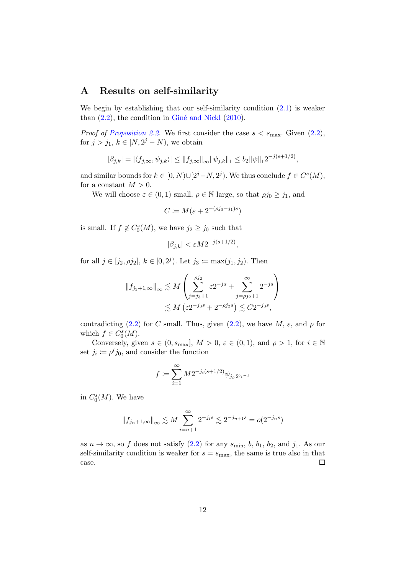### <span id="page-11-0"></span>A Results on self-similarity

We begin by establishing that our self-similarity condition  $(2.1)$  is weaker than  $(2.2)$ , the condition in Giné and Nickl  $(2010)$  $(2010)$ .

*Proof of [Proposition 2.2.](#page-6-2)* We first consider the case  $s < s_{\text{max}}$ . Given  $(2.2)$ , for  $j > j_1, k \in [N, 2^j - N)$ , we obtain

$$
|\beta_{j,k}| = |\langle f_{j,\infty}, \psi_{j,k} \rangle| \le ||f_{j,\infty}||_{\infty} ||\psi_{j,k}||_1 \le b_2 ||\psi||_1 2^{-j(s+1/2)},
$$

and similar bounds for  $k \in [0, N) \cup [2^j - N, 2^j)$ . We thus conclude  $f \in C<sup>s</sup>(M)$ , for a constant  $M > 0$ .

We will choose  $\varepsilon \in (0,1)$  small,  $\rho \in \mathbb{N}$  large, so that  $\rho j_0 \geq j_1$ , and

$$
C := M(\varepsilon + 2^{-(\rho j_0 - j_1)s})
$$

is small. If  $f \notin C_0^s(M)$ , we have  $j_2 \geq j_0$  such that

$$
|\beta_{j,k}| < \varepsilon M 2^{-j(s+1/2)},
$$

for all  $j \in [j_2, \rho j_2]$ ,  $k \in [0, 2^j)$ . Let  $j_3 := \max(j_1, j_2)$ . Then

$$
||f_{j_3+1,\infty}||_{\infty} \lesssim M \left( \sum_{j=j_3+1}^{j_2} \varepsilon 2^{-js} + \sum_{j=\rho j_2+1}^{\infty} 2^{-js} \right)
$$
  

$$
\lesssim M \left( \varepsilon 2^{-j_3s} + 2^{-\rho j_2s} \right) \lesssim C 2^{-j_3s},
$$

contradicting [\(2.2\)](#page-6-1) for C small. Thus, given (2.2), we have  $M$ ,  $\varepsilon$ , and  $\rho$  for which  $f \in C_0<sup>s</sup>(M)$ .

Conversely, given  $s \in (0, s_{\text{max}}], M > 0, \varepsilon \in (0, 1), \text{ and } \rho > 1, \text{ for } i \in \mathbb{N}$ set  $j_i \coloneqq \rho^i j_0$ , and consider the function

$$
f \coloneqq \sum_{i=1}^\infty M 2^{-j_i(s+1/2)} \psi_{j_i,2^{j_i-1}}
$$

in  $C_0<sup>s</sup>(M)$ . We have

$$
||f_{j_n+1,\infty}||_{\infty} \lesssim M \sum_{i=n+1}^{\infty} 2^{-j_i s} \lesssim 2^{-j_{n+1}s} = o(2^{-j_n s})
$$

as  $n \to \infty$ , so f does not satisfy  $(2.2)$  for any  $s_{\min}$ ,  $b, b_1, b_2$ , and  $j_1$ . As our self-similarity condition is weaker for  $s = s_{\text{max}}$ , the same is true also in that  $\Box$ case.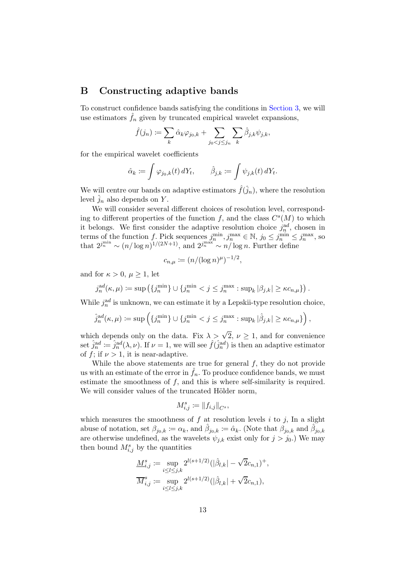### <span id="page-12-0"></span>B Constructing adaptive bands

To construct confidence bands satisfying the conditions in [Section 3,](#page-7-0) we will use estimators  $\hat{f}_n$  given by truncated empirical wavelet expansions,

$$
\hat{f}(j_n) := \sum_k \hat{\alpha}_k \varphi_{j_0,k} + \sum_{j_0 < j \le j_n} \sum_k \hat{\beta}_{j,k} \psi_{j,k},
$$

for the empirical wavelet coefficients

$$
\hat{\alpha}_k := \int \varphi_{j_0,k}(t) dY_t, \qquad \hat{\beta}_{j,k} := \int \psi_{j,k}(t) dY_t.
$$

We will centre our bands on adaptive estimators  $\hat{f}(\hat{j}_n)$ , where the resolution level  $\hat{j}_n$  also depends on Y.

We will consider several different choices of resolution level, corresponding to different properties of the function f, and the class  $C<sup>s</sup>(M)$  to which it belongs. We first consider the adaptive resolution choice  $j_n^{ad}$ , chosen in terms of the function f. Pick sequences  $j_n^{\min}, j_n^{\max} \in \mathbb{N}, j_0 \leq j_n^{\min} \leq j_n^{\max}$ , so that  $2^{j_m^{\min}} \sim (n/\log n)^{1/(2N+1)}$ , and  $2^{j_m^{\max}} \sim n/\log n$ . Further define

$$
c_{n,\mu} := (n/(\log n)^{\mu})^{-1/2},
$$

and for  $\kappa > 0$ ,  $\mu \geq 1$ , let

$$
j_n^{\mathrm{ad}}(\kappa,\mu) \coloneqq \sup \left( \{ j_n^{\min} \} \cup \{ j_n^{\min} < j \leq j_n^{\max} : \sup_k |\beta_{j,k}| \geq \kappa c_{n,\mu} \} \right).
$$

While  $j_n^{ad}$  is unknown, we can estimate it by a Lepskii-type resolution choice,

$$
\hat{j}_n^{ad}(\kappa,\mu) \coloneqq \sup \left( \{ j_n^{\min} \} \cup \{ j_n^{\min} < j \le j_n^{\max} : \sup_k |\hat{\beta}_{j,k}| \ge \kappa c_{n,\mu} \} \right),
$$

which depends only on the data. Fix  $\lambda > \sqrt{2}$ ,  $\nu \ge 1$ , and for convenience set  $\hat{j}_n^{\text{ad}} := \hat{j}_n^{\text{ad}}(\lambda, \nu)$ . If  $\nu = 1$ , we will see  $\hat{f}(\hat{j}_n^{\text{ad}})$  is then an adaptive estimator of f; if  $\nu > 1$ , it is near-adaptive.

While the above statements are true for general  $f$ , they do not provide us with an estimate of the error in  $\hat{f}_n$ . To produce confidence bands, we must estimate the smoothness of  $f$ , and this is where self-similarity is required. We will consider values of the truncated Hölder norm,

$$
M_{i,j}^s := \|f_{i,j}\|_{C^s},
$$

which measures the smoothness of  $f$  at resolution levels  $i$  to  $j$ , In a slight abuse of notation, set  $\beta_{j_0,k} := \alpha_k$ , and  $\hat{\beta}_{j_0,k} := \hat{\alpha}_k$ . (Note that  $\beta_{j_0,k}$  and  $\hat{\beta}_{j_0,k}$ are otherwise undefined, as the wavelets  $\psi_{j,k}$  exist only for  $j > j_0$ .) We may then bound  $M_{i,j}^s$  by the quantities

$$
\begin{aligned} \underline{M}^s_{i,j} &\coloneqq \sup_{i\leq l\leq j,k} 2^{l(s+1/2)} (|\hat{\beta}_{l,k}| - \sqrt{2}c_{n,1})^+,\\ \overline{M}^s_{i,j} &\coloneqq \sup_{i\leq l\leq j,k} 2^{l(s+1/2)} (|\hat{\beta}_{l,k}| + \sqrt{2}c_{n,1}), \end{aligned}
$$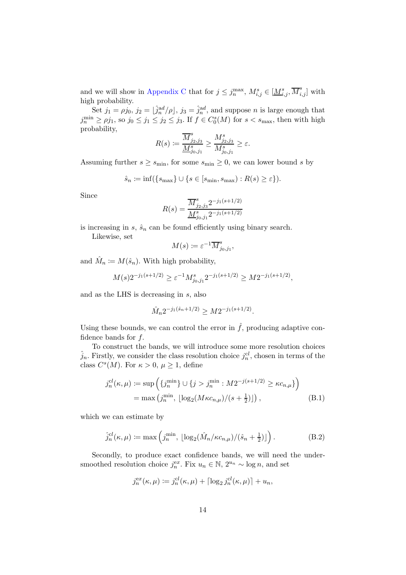and we will show in [Appendix C](#page-15-0) that for  $j \leq j_n^{\max}$ ,  $M_{i,j}^s \in [\underline{M}_{i,j}^s, \overline{M}_{i,j}^s]$  with high probability.

Set  $j_1 = \rho j_0$ ,  $j_2 = \left[\hat{j}_n^{ad}/\rho\right]$ ,  $j_3 = \hat{j}_n^{ad}$ , and suppose *n* is large enough that  $j_n^{\min} \ge \rho j_1$ , so  $j_0 \le j_1 \le j_2 \le j_3$ . If  $f \in C_0^s(M)$  for  $s < s_{\max}$ , then with high probability,

$$
R(s)\coloneqq\frac{\overline{M}^s_{j_2,j_3}}{\underline{M}^s_{j_0,j_1}}\geq \frac{M^s_{j_2,j_3}}{M^s_{j_0,j_1}}\geq \varepsilon.
$$

Assuming further  $s \geq s_{\min}$ , for some  $s_{\min} \geq 0$ , we can lower bound s by

$$
\hat{s}_n := \inf(\{s_{\max}\} \cup \{s \in [s_{\min}, s_{\max}) : R(s) \geq \varepsilon\}).
$$

Since

$$
R(s) = \frac{\overline{M}_{j_2,j_3}^s 2^{-j_1(s+1/2)}}{\underline{M}_{j_0,j_1}^s 2^{-j_1(s+1/2)}}
$$

is increasing in  $s$ ,  $\hat{s}_n$  can be found efficiently using binary search.

Likewise, set

$$
M(s) \coloneqq \varepsilon^{-1} \overline{M}_{j_0,j_1}^s,
$$

and  $\hat{M}_n \coloneqq M(\hat{s}_n)$ . With high probability,

$$
M(s)2^{-j_1(s+1/2)} \ge \varepsilon^{-1} M_{j_0,j_1}^s 2^{-j_1(s+1/2)} \ge M 2^{-j_1(s+1/2)},
$$

and as the LHS is decreasing in s, also

<span id="page-13-0"></span>
$$
\hat{M}_n 2^{-j_1(\hat{s}_n + 1/2)} \ge M 2^{-j_1(s + 1/2)}.
$$

Using these bounds, we can control the error in  $\hat{f}$ , producing adaptive confidence bands for f.

To construct the bands, we will introduce some more resolution choices  $\hat{j}_n$ . Firstly, we consider the class resolution choice  $j_n^{cl}$ , chosen in terms of the class  $C^{s}(M)$ . For  $\kappa > 0$ ,  $\mu \geq 1$ , define

$$
j_n^{cl}(\kappa, \mu) \coloneqq \sup \left( \{ j_n^{\min} \} \cup \{ j > j_n^{\min} : M2^{-j(s+1/2)} \ge \kappa c_{n,\mu} \} \right)
$$
  
= max  $(j_n^{\min}, \lfloor \log_2(M\kappa c_{n,\mu})/(s+\frac{1}{2}) \rfloor )$ , (B.1)

which we can estimate by

$$
\hat{j}_n^{cl}(\kappa,\mu) \coloneqq \max\left(j_n^{\min}, \lfloor \log_2(\hat{M}_n/\kappa c_{n,\mu})/(\hat{s}_n + \frac{1}{2})\rfloor\right). \tag{B.2}
$$

Secondly, to produce exact confidence bands, we will need the undersmoothed resolution choice  $j_n^{ex}$ . Fix  $u_n \in \mathbb{N}$ ,  $2^{u_n} \sim \log n$ , and set

<span id="page-13-1"></span>
$$
j_n^{ex}(\kappa,\mu) \coloneqq j_n^{cl}(\kappa,\mu) + \lceil \log_2 j_n^{cl}(\kappa,\mu) \rceil + u_n,
$$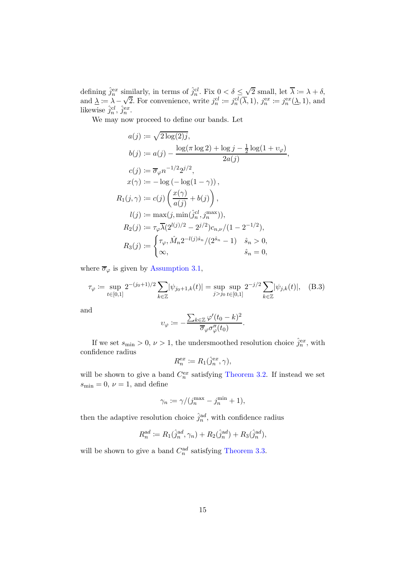defining  $\hat{j}_n^{ex}$  similarly, in terms of  $\hat{j}_n^{cl}$ . Fix  $0 < \delta \leq \sqrt{2}$  small, let  $\overline{\lambda} := \lambda + \delta$ , and  $\lambda := \lambda - \sqrt{2}$ . For convenience, write  $j_n^{cl} := j_n^{cl}(\overline{\lambda}, 1)$ ,  $j_n^{ex} := j_n^{ex}(\lambda, 1)$ , and likewise  $\hat{j}_n^{cl}$ ,  $\hat{j}_n^{ex}$ .

We may now proceed to define our bands. Let

$$
a(j) := \sqrt{2 \log(2)j},
$$
  
\n
$$
b(j) := a(j) - \frac{\log(\pi \log 2) + \log j - \frac{1}{2} \log(1 + \nu_{\varphi})}{2a(j)},
$$
  
\n
$$
c(j) := \overline{\sigma}_{\varphi} n^{-1/2} 2^{j/2},
$$
  
\n
$$
x(\gamma) := -\log(-\log(1 - \gamma)),
$$
  
\n
$$
R_1(j, \gamma) := c(j) \left( \frac{x(\gamma)}{a(j)} + b(j) \right),
$$
  
\n
$$
l(j) := \max(j, \min(j_n^{\circ l}, j_n^{\max})),
$$
  
\n
$$
R_2(j) := \tau_{\varphi} \overline{\lambda} (2^{l(j)/2} - 2^{j/2}) c_{n,\nu} / (1 - 2^{-1/2}),
$$
  
\n
$$
R_3(j) := \begin{cases} \tau_{\varphi}, \hat{M}_n 2^{-l(j)\hat{s}_n} / (2^{\hat{s}_n} - 1) & \hat{s}_n > 0, \\ \infty, & \hat{s}_n = 0, \end{cases}
$$

where  $\overline{\sigma}_{\varphi}$  is given by [Assumption 3.1,](#page-7-1)

$$
\tau_{\varphi} := \sup_{t \in [0,1]} 2^{-(j_0+1)/2} \sum_{k \in \mathbb{Z}} |\psi_{j_0+1,k}(t)| = \sup_{j > j_0} \sup_{t \in [0,1]} 2^{-j/2} \sum_{k \in \mathbb{Z}} |\psi_{j,k}(t)|, \quad \text{(B.3)}
$$

and

$$
v_{\varphi} := -\frac{\sum_{k \in \mathbb{Z}} \varphi'(t_0 - k)^2}{\overline{\sigma}_{\varphi} \sigma_{\varphi}''(t_0)}.
$$

If we set  $s_{\min} > 0, \nu > 1$ , the undersmoothed resolution choice  $\hat{j}_n^{\text{ex}}$ , with confidence radius

$$
R_n^{\text{ex}} \coloneqq R_1(\hat{j}_n^{\text{ex}}, \gamma),
$$

will be shown to give a band  $C_n^{ex}$  satisfying [Theorem 3.2.](#page-8-0) If instead we set  $s_{\min} = 0, \nu = 1$ , and define

$$
\gamma_n := \gamma / (j_n^{\max} - j_n^{\min} + 1),
$$

then the adaptive resolution choice  $\hat{j}_n^{\text{ad}}$ , with confidence radius

$$
R_n^{ad} := R_1(\hat{j}_n^{ad}, \gamma_n) + R_2(\hat{j}_n^{ad}) + R_3(\hat{j}_n^{ad}),
$$

will be shown to give a band  $C_n^{ad}$  satisfying [Theorem 3.3.](#page-9-0)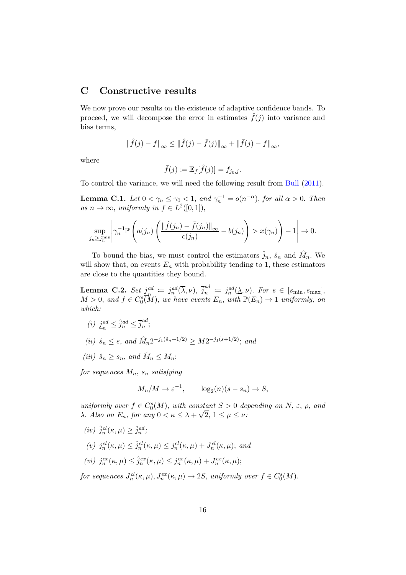### <span id="page-15-0"></span>C Constructive results

We now prove our results on the existence of adaptive confidence bands. To proceed, we will decompose the error in estimates  $\hat{f}(i)$  into variance and bias terms,

$$
\|\hat{f}(j) - f\|_{\infty} \le \|\hat{f}(j) - \bar{f}(j)\|_{\infty} + \|\bar{f}(j) - f\|_{\infty},
$$

where

$$
\bar{f}(j) \coloneqq \mathbb{E}_f[\hat{f}(j)] = f_{j_0,j}.
$$

To control the variance, we will need the following result from [Bull](#page-27-3) [\(2011\)](#page-27-3).

<span id="page-15-2"></span>**Lemma C.1.** Let  $0 < \gamma_n \leq \gamma_0 < 1$ , and  $\gamma_n^{-1} = o(n^{-\alpha})$ , for all  $\alpha > 0$ . Then as  $n \to \infty$ , uniformly in  $f \in L^2([0,1]),$ 

$$
\sup_{j_n \ge j_n^{\min}} \left| \gamma_n^{-1} \mathbb{P}\left( a(j_n) \left( \frac{\|\hat{f}(j_n) - \bar{f}(j_n)\|_{\infty}}{c(j_n)} - b(j_n) \right) > x(\gamma_n) \right) - 1 \right| \to 0.
$$

To bound the bias, we must control the estimators  $\hat{j}_n$ ,  $\hat{s}_n$  and  $\hat{M}_n$ . We will show that, on events  $E_n$  with probability tending to 1, these estimators are close to the quantities they bound.

<span id="page-15-1"></span>Lemma C.2. Set  $j^{ad}_{n}$  $\mathcal{L}^{ad}_{n} := j^{ad}_{n}(\overline{\lambda}, \nu), \ \overline{j}^{ad}_{n}$  $n^{ad}$  :=  $j_n^{ad}(\underline{\lambda}, \nu)$ . For  $s \in [s_{\min}, s_{\max}]$ ,  $M > 0$ , and  $f \in C_0^s(\mathbb{R}^n)$ , we have events  $E_n$ , with  $\mathbb{P}(E_n) \to 1$  uniformly, on which:

- $(i)$   $j_{n}^{ad}$  $\hat{j}_n^{ad} \leq \hat{j}_n^{ad} \leq \overline{j}_n^{ad}$  $\frac{m}{n}$ ;
- (ii)  $\hat{s}_n \leq s$ , and  $\hat{M}_n 2^{-j_1(\hat{s}_n+1/2)} \geq M 2^{-j_1(s+1/2)}$ ; and
- (iii)  $\hat{s}_n \geq s_n$ , and  $\hat{M}_n \leq M_n$ ;

for sequences  $M_n$ ,  $s_n$  satisfying

$$
M_n/M \to \varepsilon^{-1}
$$
,  $\log_2(n)(s - s_n) \to S$ ,

uniformly over  $f \in C_0^s(M)$ , with constant  $S > 0$  depending on  $N$ ,  $\varepsilon$ ,  $\rho$ , and λ. Also on E<sub>n</sub>, for any  $0 < \kappa \leq \lambda + \sqrt{2}$ ,  $1 \leq \mu \leq \nu$ :

$$
(iv) \hat{j}_n^{cl}(\kappa, \mu) \ge \hat{j}_n^{ad};
$$
  
\n
$$
(v) j_n^{cl}(\kappa, \mu) \le \hat{j}_n^{cl}(\kappa, \mu) \le j_n^{cl}(\kappa, \mu) + J_n^{cl}(\kappa, \mu);
$$
 and  
\n
$$
(vi) j_n^{ex}(\kappa, \mu) \le \hat{j}_n^{ex}(\kappa, \mu) \le j_n^{ex}(\kappa, \mu) + J_n^{ex}(\kappa, \mu);
$$

for sequences  $J_n^{cl}(\kappa,\mu), J_n^{ex}(\kappa,\mu) \to 2S$ , uniformly over  $f \in C_0^s(M)$ .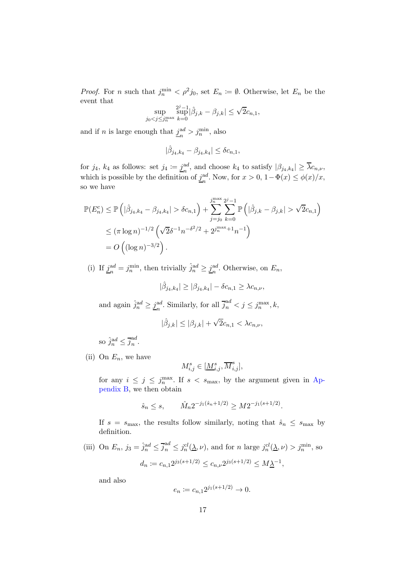*Proof.* For *n* such that  $j_n^{\min} < \rho^2 j_0$ , set  $E_n \coloneqq \emptyset$ . Otherwise, let  $E_n$  be the event that

$$
\sup_{j_0
$$

and if n is large enough that  $j_a^{\text{ad}}$  $_n^{ad} > j_n^{\min}$ , also

$$
|\hat{\beta}_{j_4,k_4}-\beta_{j_4,k_4}|\leq \delta c_{n,1},
$$

for  $j_4$ ,  $k_4$  as follows: set  $j_4 \coloneqq j_m^{\text{ad}}$  $_n^{ad}$ , and choose  $k_4$  to satisfy  $|\beta_{j_4,k_4}| \geq \lambda c_{n,\nu}$ , which is possible by the definition of  $j_{n}^{\text{ad}}$ <sup>ad</sup>. Now, for  $x > 0$ ,  $1 - \Phi(x) \leq \phi(x)/x$ , so we have

$$
\mathbb{P}(E_n^c) \le \mathbb{P}\left(|\hat{\beta}_{j_4,k_4} - \beta_{j_4,k_4}| > \delta c_{n,1}\right) + \sum_{j=j_0}^{j_n^{\max} 2^j - 1} \mathbb{P}\left(|\hat{\beta}_{j,k} - \beta_{j,k}| > \sqrt{2}c_{n,1}\right)
$$
  

$$
\le (\pi \log n)^{-1/2} \left(\sqrt{2}\delta^{-1}n^{-\delta^2/2} + 2^{j_n^{\max} + 1}n^{-1}\right)
$$
  

$$
= O\left((\log n)^{-3/2}\right).
$$

 $(i)$  If  $j_{n}^{ad}$  $a_n^{\text{ad}} = j_n^{\min}$ , then trivially  $\hat{j}_n^{\text{ad}} \ge \underline{j}_n^{\text{ad}}$  $_n^{ad}$ . Otherwise, on  $E_n$ ,

$$
|\hat{\beta}_{j_4,k_4}| \geq |\beta_{j_4,k_4}| - \delta c_{n,1} \geq \lambda c_{n,\nu},
$$

and again  $\hat{j}_n^{\text{ad}} \geq \underline{j}_n^{\text{ad}}$ <sup>ad</sup>. Similarly, for all  $\overline{j}_n^{\text{ad}} < j \leq j_n^{\text{max}}, k$ ,

$$
|\hat{\beta}_{j,k}| \leq |\beta_{j,k}| + \sqrt{2}c_{n,1} < \lambda c_{n,\nu},
$$

so  $\hat{j}_n^{ad} \leq \overline{j}_n^{ad}$  $\frac{du}{n}$ .

(ii) On  $E_n$ , we have

$$
M_{i,j}^s\in[\underline{M}_{i,j}^s,\overline{M}_{i,j}^s],
$$

for any  $i \leq j \leq j_m^{\max}$ . If  $s < s_{\max}$ , by the argument given in Appendix B, we then obtain

$$
\hat{s}_n \leq s
$$
,  $\hat{M}_n 2^{-j_1(\hat{s}_n + 1/2)} \geq M 2^{-j_1(s + 1/2)}$ .

If  $s = s_{\text{max}}$ , the results follow similarly, noting that  $\hat{s}_n \leq s_{\text{max}}$  by definition.

(iii) On  $E_n$ ,  $j_3 = \hat{j}_n^{\text{ad}} \leq \overline{j}_n^{\text{ad}} \leq j_n^{\text{cl}}(\underline{\lambda}, \nu)$ , and for n large  $j_n^{\text{cl}}(\underline{\lambda}, \nu) > j_n^{\min}$ , so  $d_n \coloneqq c_{n,1} 2^{j_3(s+1/2)} \leq c_{n,\nu} 2^{j_3(s+1/2)} \leq M \underline{\lambda}^{-1},$ 

and also

$$
e_n := c_{n,1} 2^{j_1(s+1/2)} \to 0.
$$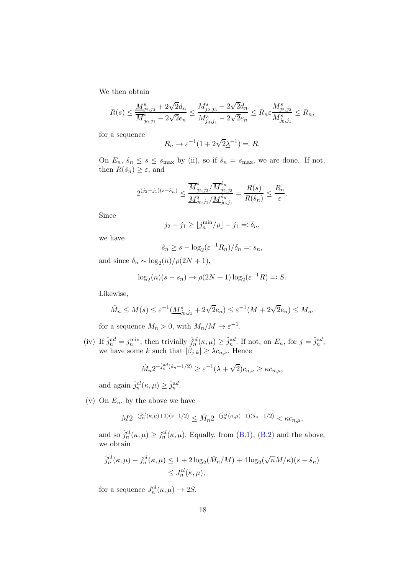We then obtain

$$
R(s) \le \frac{M^s_{j_2,j_3} + 2\sqrt{2}d_n}{\overline{M}^s_{j_0,j_1} - 2\sqrt{2}e_n} \le \frac{M^s_{j_2,j_3} + 2\sqrt{2}d_n}{M^s_{j_0,j_1} - 2\sqrt{2}e_n} \le R_n \varepsilon \frac{M^s_{j_2,j_3}}{M^s_{j_0,j_1}} \le R_n,
$$

for a sequence

$$
R_n \to \varepsilon^{-1} (1 + 2\sqrt{2} \underline{\lambda}^{-1}) =: R.
$$

On  $E_n$ ,  $\hat{s}_n \leq s \leq s_{\text{max}}$  by (ii), so if  $\hat{s}_n = s_{\text{max}}$ , we are done. If not, then  $R(\hat{s}_n) \geq \varepsilon$ , and

$$
2^{(j_2-j_1)(s-\hat{s}_n)} \leq \frac{\overline{M}^s_{j_2,j_3}/\overline{M}^{\hat{s}_n}_{j_2,j_3}}{\underline{M}^s_{j_0,j_1}/\underline{M}^{\hat{s}_n}_{j_0,j_1}} = \frac{R(s)}{R(\hat{s}_n)} \leq \frac{R_n}{\varepsilon}.
$$

Since

$$
j_2 - j_1 \ge |j_n^{\min}/\rho| - j_1 =: \delta_n,
$$

we have

$$
\hat{s}_n \ge s - \log_2(\varepsilon^{-1} R_n) / \delta_n =: s_n,
$$

and since  $\delta_n \sim \log_2(n)/\rho(2N+1)$ ,

$$
\log_2(n)(s - s_n) \to \rho(2N + 1)\log_2(\varepsilon^{-1}R) =: S.
$$

Likewise,

$$
\hat{M}_n \le M(s) \le \varepsilon^{-1}(\underline{M}_{j_0,j_1}^s + 2\sqrt{2}e_n) \le \varepsilon^{-1}(M + 2\sqrt{2}e_n) \le M_n,
$$

for a sequence  $M_n > 0$ , with  $M_n/M \to \varepsilon^{-1}$ .

(iv) If  $\hat{j}_n^{ad} = j_n^{\min}$ , then trivially  $\hat{j}_n^{cl}(\kappa, \mu) \geq \hat{j}_n^{ad}$ . If not, on  $E_n$ , for  $j = \hat{j}_n^{ad}$ , we have some k such that  $|\hat{\beta}_{j,k}| \geq \lambda c_{n,\nu}$ . Hence

$$
\hat{M}_n 2^{-\hat{j}_n^{\text{ad}}(\hat{s}_n + 1/2)} \ge \varepsilon^{-1} (\lambda + \sqrt{2}) c_{n,\nu} \ge \kappa c_{n,\mu},
$$

and again  $\hat{j}_n^{cl}(\kappa,\mu) \geq \hat{j}_n^{ad}$ .

(v) On  $E_n$ , by the above we have

$$
M 2^{- (\hat{j}_n^{cl}(\kappa,\mu) + 1)(s + 1/2)} \leq \hat{M}_n 2^{- (\hat{j}_n^{cl}(\kappa,\mu) + 1)(\hat{s}_n + 1/2)} < \kappa c_{n,\mu},
$$

and so  $\hat{j}_n^{cl}(\kappa,\mu) \ge j_n^{cl}(\kappa,\mu)$ . Equally, from [\(B.1\)](#page-13-0), [\(B.2\)](#page-13-1) and the above, we obtain

$$
\hat{j}_n^{cl}(\kappa,\mu) - j_n^{cl}(\kappa,\mu) \le 1 + 2\log_2(\hat{M}_n/M) + 4\log_2(\sqrt{n}M/\kappa)(s - \hat{s}_n)
$$
  

$$
\le J_n^{cl}(\kappa,\mu),
$$

for a sequence  $J_n^{cl}(\kappa,\mu) \to 2S$ .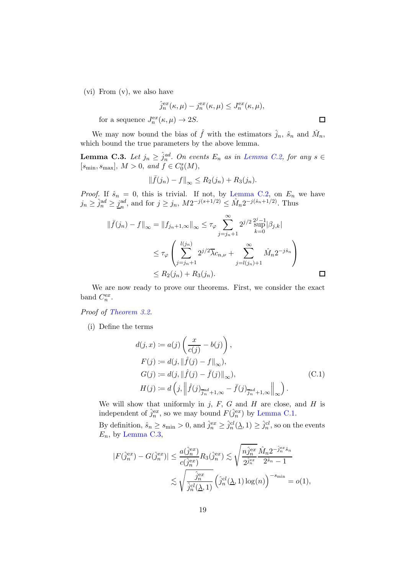(vi) From (v), we also have

$$
\hat{j}_n^{ex}(\kappa,\mu) - j_n^{ex}(\kappa,\mu) \le J_n^{ex}(\kappa,\mu),
$$

for a sequence  $J_n^{\text{ex}}(\kappa, \mu) \to 2S$ .

We may now bound the bias of  $\hat{f}$  with the estimators  $\hat{j}_n$ ,  $\hat{s}_n$  and  $\hat{M}_n$ , which bound the true parameters by the above lemma.

<span id="page-18-0"></span>**Lemma C.3.** Let  $j_n \geq \hat{j}_n^{ad}$ . On events  $E_n$  as in [Lemma C.2,](#page-15-1) for any  $s \in$  $[s_{\text{min}}, s_{\text{max}}], M > 0, \text{ and } f \in C_0^s(M),$ 

$$
\|\bar{f}(j_n) - f\|_{\infty} \le R_2(j_n) + R_3(j_n).
$$

*Proof.* If  $\hat{s}_n = 0$ , this is trivial. If not, by [Lemma C.2,](#page-15-1) on  $E_n$  we have  $j_n \geq \hat{j}_n^{\text{ad}} \geq \underline{j}_n^{\text{ad}}$  $_n^{ad}$ , and for  $j \ge j_n$ ,  $M2^{-j(s+1/2)} \le \hat{M}_n 2^{-j(\hat{s}_n+1/2)}$ . Thus

$$
\|\bar{f}(j_n) - f\|_{\infty} = \|f_{j_n+1,\infty}\|_{\infty} \le \tau_{\varphi} \sum_{j=j_n+1}^{\infty} 2^{j/2} \frac{z^{j-1}}{\sup} |\beta_{j,k}|
$$
  

$$
\le \tau_{\varphi} \left( \sum_{j=j_n+1}^{l(j_n)} 2^{j/2} \overline{\lambda} c_{n,\nu} + \sum_{j=l(j_n)+1}^{\infty} \hat{M}_n 2^{-j\hat{s}_n} \right)
$$
  

$$
\le R_2(j_n) + R_3(j_n).
$$

We are now ready to prove our theorems. First, we consider the exact band  $C_n^{ex}$ .

Proof of [Theorem 3.2.](#page-8-0)

(i) Define the terms

<span id="page-18-1"></span>
$$
d(j, x) := a(j) \left( \frac{x}{c(j)} - b(j) \right),
$$
  
\n
$$
F(j) := d(j, \|\hat{f}(j) - f\|_{\infty}),
$$
  
\n
$$
G(j) := d(j, \|\hat{f}(j) - \bar{f}(j)\|_{\infty}),
$$
  
\n
$$
H(j) := d\left( j, \left\| \hat{f}(j)_{\overline{j}^{ad} + 1, \infty} - \bar{f}(j)_{\overline{j}^{ad} + 1, \infty} \right\|_{\infty} \right).
$$
\n(C.1)

We will show that uniformly in j,  $F$ ,  $G$  and  $H$  are close, and  $H$  is independent of  $\hat{j}_n^{ex}$ , so we may bound  $F(\hat{j}_n^{ex})$  by [Lemma C.1.](#page-15-2)

By definition,  $\hat{s}_n \geq s_{\min} > 0$ , and  $\hat{j}_n^{ex} \geq \hat{j}_n^{cl}(\underline{\lambda}, 1) \geq \hat{j}_n^{cl}$ , so on the events  $E_n$ , by [Lemma C.3,](#page-18-0)

$$
|F(\hat{j}_n^{ex}) - G(\hat{j}_n^{ex})| \le \frac{a(\hat{j}_n^{ex})}{c(\hat{j}_n^{ex})} R_3(\hat{j}_n^{ex}) \lesssim \sqrt{\frac{n \hat{j}_n^{ex}}{2^{\hat{j}_n^{ex}}} \frac{\hat{M}_n 2^{-\hat{j}_n^{ex} \hat{s}_n}}{2^{\hat{s}_n} - 1}}
$$

$$
\lesssim \sqrt{\frac{\hat{j}_n^{ex}}{\hat{j}_n^{cl}(\underline{\lambda}, 1)} \left(\hat{j}_n^{cl}(\underline{\lambda}, 1) \log(n)\right)^{-s_{\min}}} = o(1),
$$

 $\Box$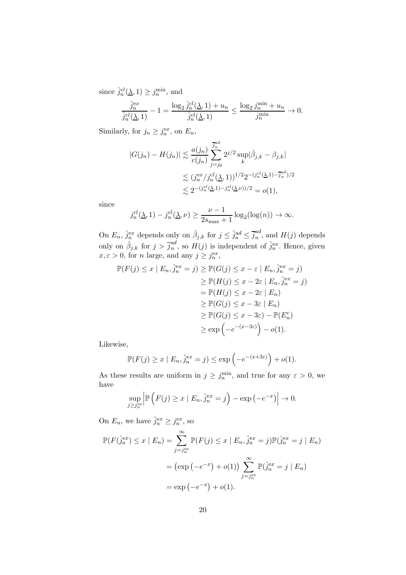since  $\hat{j}_n^{cl}(\underline{\lambda}, 1) \geq j_n^{\min}$ , and

$$
\frac{\hat{j}_n^{ex}}{\hat{j}_n^{cl}(\underline{\lambda},1)} - 1 = \frac{\log_2 \hat{j}_n^{cl}(\underline{\lambda},1) + u_n}{\hat{j}_n^{cl}(\underline{\lambda},1)} \le \frac{\log_2 j_n^{\min} + u_n}{j_n^{\min}} \to 0.
$$

Similarly, for  $j_n \geq j_n^{ex}$ , on  $E_n$ ,

$$
|G(j_n) - H(j_n)| \lesssim \frac{a(j_n)}{c(j_n)} \sum_{j=j_0}^{j_n d} 2^{j/2} \sup_k |\hat{\beta}_{j,k} - \beta_{j,k}|
$$
  

$$
\lesssim (j_n^{ex}/j_n^{cl}(\underline{\lambda}, 1))^{1/2} 2^{-(j_n^{cl}(\underline{\lambda}, 1) - j_n^{ad})/2}
$$
  

$$
\lesssim 2^{-(j_n^{cl}(\underline{\lambda}, 1) - j_n^{cl}(\underline{\lambda}, \nu))/2} = o(1),
$$

since

$$
j_n^{cl}(\underline{\lambda}, 1) - j_n^{cl}(\underline{\lambda}, \nu) \ge \frac{\nu - 1}{2s_{\max} + 1} \log_2(\log(n)) \to \infty.
$$

On  $E_n$ ,  $\hat{j}_n^{\text{ex}}$  depends only on  $\hat{\beta}_{j,k}$  for  $j \leq \hat{j}_n^{\text{ad}} \leq \overline{j}_n^{\text{ad}}$  $_n^{aa}$ , and  $H(j)$  depends only on  $\hat{\beta}_{j,k}$  for  $j > \overline{j}_n^{\text{ad}}$  $_n^{ad}$ , so  $H(j)$  is independent of  $\hat{j}_n^{ex}$ . Hence, given  $x, \varepsilon > 0$ , for *n* large, and any  $j \geq j_n^{ex}$ ,

$$
\mathbb{P}(F(j) \le x \mid E_n, \hat{j}_n^{ex} = j) \ge \mathbb{P}(G(j) \le x - \varepsilon \mid E_n, \hat{j}_n^{ex} = j)
$$
  
\n
$$
\ge \mathbb{P}(H(j) \le x - 2\varepsilon \mid E_n, \hat{j}_n^{ex} = j)
$$
  
\n
$$
= \mathbb{P}(H(j) \le x - 2\varepsilon \mid E_n)
$$
  
\n
$$
\ge \mathbb{P}(G(j) \le x - 3\varepsilon \mid E_n)
$$
  
\n
$$
\ge \mathbb{P}(G(j) \le x - 3\varepsilon) - \mathbb{P}(E_n^c)
$$
  
\n
$$
\ge \exp(-e^{-(x-3\varepsilon)}) - o(1).
$$

Likewise,

$$
\mathbb{P}(F(j) \ge x \mid E_n, \hat{j}_n^{ex} = j) \le \exp\left(-e^{-(x+3\varepsilon)}\right) + o(1).
$$

As these results are uniform in  $j \geq j_n^{\min}$ , and true for any  $\varepsilon > 0$ , we have

$$
\sup_{j\geq j_n^{\text{ex}}} \left| \mathbb{P}\left(F(j) \geq x \mid E_n, \hat{j}_n^{\text{ex}} = j\right) - \exp\left(-e^{-x}\right) \right| \to 0.
$$

On  $E_n$ , we have  $\hat{j}_n^{\text{e}x} \geq j_n^{\text{e}x}$ , so

$$
\mathbb{P}(F(\hat{j}_n^{ex}) \le x \mid E_n) = \sum_{j=j_n^{ex}}^{\infty} \mathbb{P}(F(j) \le x \mid E_n, \hat{j}_n^{ex} = j) \mathbb{P}(\hat{j}_n^{ex} = j \mid E_n)
$$

$$
= (\exp(-e^{-x}) + o(1)) \sum_{j=j_n^{ex}}^{\infty} \mathbb{P}(\hat{j}_n^{ex} = j \mid E_n)
$$

$$
= \exp(-e^{-x}) + o(1).
$$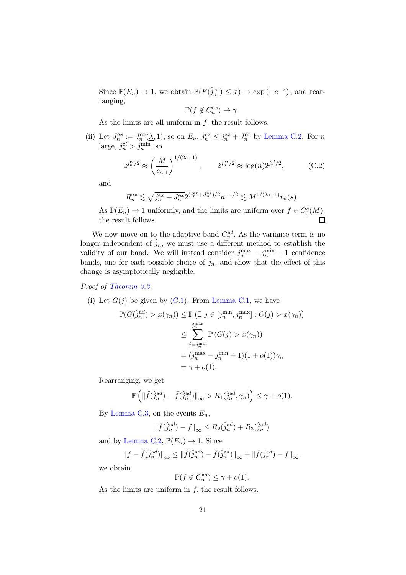Since  $\mathbb{P}(E_n) \to 1$ , we obtain  $\mathbb{P}(F(\hat{j}_n^{\text{ex}}) \leq x) \to \exp(-e^{-x})$ , and rearranging,

$$
\mathbb{P}(f \notin C_n^{ex}) \to \gamma.
$$

As the limits are all uniform in  $f$ , the result follows.

(ii) Let  $J_n^{ex} := J_n^{ex}(\underline{\lambda}, 1)$ , so on  $E_n$ ,  $\hat{j}_n^{ex} \leq j_n^{ex} + J_n^{ex}$  by [Lemma C.2.](#page-15-1) For n large,  $j_n^{cl} > j_n^{\min}$ , so

<span id="page-20-0"></span>
$$
2^{j_n^{cl}/2} \approx \left(\frac{M}{c_{n,1}}\right)^{1/(2s+1)}, \qquad 2^{j_n^{ex}/2} \approx \log(n) 2^{j_n^{cl}/2}, \tag{C.2}
$$

and

$$
R_n^{\text{ex}} \lesssim \sqrt{j_n^{\text{ex}} + J_n^{\text{ex}}} 2^{(j_n^{\text{ex}} + J_n^{\text{ex}})/2} n^{-1/2} \lesssim M^{1/(2s+1)} r_n(s).
$$

As  $\mathbb{P}(E_n) \to 1$  uniformly, and the limits are uniform over  $f \in C_0^s(M)$ , the result follows.  $\Box$ 

We now move on to the adaptive band  $C_n^{ad}$ . As the variance term is no longer independent of  $\hat{j}_n$ , we must use a different method to establish the validity of our band. We will instead consider  $j_n^{\max} - j_n^{\min} + 1$  confidence bands, one for each possible choice of  $\hat{j}_n$ , and show that the effect of this change is asymptotically negligible.

Proof of [Theorem 3.3.](#page-9-0)

(i) Let  $G(j)$  be given by  $(C.1)$ . From [Lemma C.1,](#page-15-2) we have

$$
\mathbb{P}(G(\hat{j}_n^{\text{ad}}) > x(\gamma_n)) \le \mathbb{P}\left(\exists j \in [j_n^{\min}, j_n^{\max}] : G(j) > x(\gamma_n)\right)
$$
\n
$$
\le \sum_{j=j_n^{\min}}^{j_n^{\max}} \mathbb{P}\left(G(j) > x(\gamma_n)\right)
$$
\n
$$
= (j_n^{\max} - j_n^{\min} + 1)(1 + o(1))\gamma_n
$$
\n
$$
= \gamma + o(1).
$$

Rearranging, we get

$$
\mathbb{P}\left(\|\hat{f}(\hat{j}_n^{ad}) - \bar{f}(\hat{j}_n^{ad})\|_{\infty} > R_1(\hat{j}_n^{ad}, \gamma_n)\right) \leq \gamma + o(1).
$$

By [Lemma C.3,](#page-18-0) on the events  $E_n$ ,

$$
\|\bar{f}(\hat{j}_n^{ad}) - f\|_{\infty} \le R_2(\hat{j}_n^{ad}) + R_3(\hat{j}_n^{ad})
$$

and by [Lemma C.2,](#page-15-1)  $\mathbb{P}(E_n) \to 1$ . Since

$$
\|f-\widehat{f}(\widehat{j}_n^{ad})\|_\infty \le \|\widehat{f}(\widehat{j}_n^{ad})-\overline{f}(\widehat{j}_n^{ad})\|_\infty + \|\overline{f}(\widehat{j}_n^{ad})-f\|_\infty,
$$

we obtain

$$
\mathbb{P}(f \notin C_n^{ad}) \le \gamma + o(1).
$$

As the limits are uniform in  $f$ , the result follows.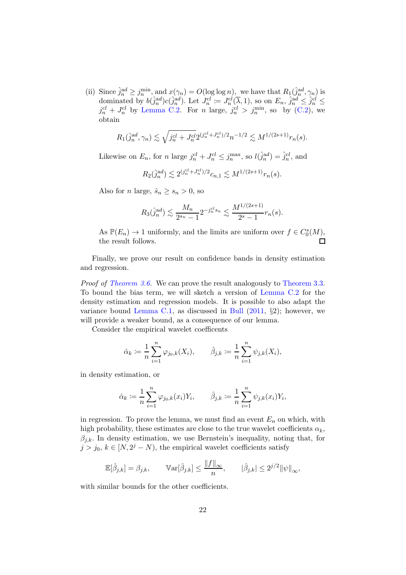(ii) Since  $\hat{j}_n^{\text{ad}} \geq j_n^{\min}$ , and  $x(\gamma_n) = O(\log \log n)$ , we have that  $R_1(\hat{j}_n^{\text{ad}}, \gamma_n)$  is dominated by  $b(\hat{j}_n^{ad})c(\hat{j}_n^{ad})$ . Let  $J_n^{cl} := J_n^{cl}(\overline{\lambda}, 1)$ , so on  $E_n$ ,  $\hat{j}_n^{ad} \leq \hat{j}_n^{cl} \leq$  $j_n^{cl}$  +  $J_n^{cl}$  by [Lemma C.2.](#page-15-1) For n large,  $j_n^{cl} > j_n^{\min}$ , so by [\(C.2\)](#page-20-0), we obtain

$$
R_1(\hat{j}_n^{ad}, \gamma_n) \lesssim \sqrt{j_n^{cl} + J_n^{cl}} 2^{(j_n^{cl} + J_n^{cl})/2} n^{-1/2} \lesssim M^{1/(2s+1)} r_n(s).
$$

Likewise on  $E_n$ , for n large  $j_n^{cl} + J_n^{cl} \le j_n^{\max}$ , so  $l(\hat{j}_n^{ad}) = \hat{j}_n^{cl}$ , and

$$
R_2(\hat{j}_n^{\text{ad}}) \lesssim 2^{(j_n^{cl} + J_n^{cl})/2} c_{n,1} \lesssim M^{1/(2s+1)} r_n(s).
$$

Also for *n* large,  $\hat{s}_n \geq s_n > 0$ , so

$$
R_3(\hat{j}_n^{ad}) \lesssim \frac{M_n}{2^{s_n} - 1} 2^{-j_n^{cl} s_n} \lesssim \frac{M^{1/(2s+1)}}{2^s - 1} r_n(s).
$$

As  $\mathbb{P}(E_n) \to 1$  uniformly, and the limits are uniform over  $f \in C_0^s(M)$ ,  $\Box$ the result follows.

Finally, we prove our result on confidence bands in density estimation and regression.

Proof of [Theorem 3.6.](#page-10-0) We can prove the result analogously to [Theorem 3.3.](#page-9-0) To bound the bias term, we will sketch a version of [Lemma C.2](#page-15-1) for the density estimation and regression models. It is possible to also adapt the variance bound [Lemma C.1,](#page-15-2) as discussed in [Bull](#page-27-3)  $(2011, \S2)$  $(2011, \S2)$ ; however, we will provide a weaker bound, as a consequence of our lemma.

Consider the empirical wavelet coefficents

$$
\hat{\alpha}_k := \frac{1}{n} \sum_{i=1}^n \varphi_{j_0,k}(X_i), \qquad \hat{\beta}_{j,k} := \frac{1}{n} \sum_{i=1}^n \psi_{j,k}(X_i),
$$

in density estimation, or

$$
\hat{\alpha}_k := \frac{1}{n} \sum_{i=1}^n \varphi_{j_0,k}(x_i) Y_i, \qquad \hat{\beta}_{j,k} := \frac{1}{n} \sum_{i=1}^n \psi_{j,k}(x_i) Y_i,
$$

in regression. To prove the lemma, we must find an event  $E_n$  on which, with high probability, these estimates are close to the true wavelet coefficients  $\alpha_k$ ,  $\beta_{j,k}$ . In density estimation, we use Bernstein's inequality, noting that, for  $j > j_0, k \in [N, 2^j - N)$ , the empirical wavelet coefficients satisfy

$$
\mathbb{E}[\hat{\beta}_{j,k}] = \beta_{j,k}, \qquad \mathbb{V}\text{ar}[\hat{\beta}_{j,k}] \le \frac{\|f\|_{\infty}}{n}, \qquad |\hat{\beta}_{j,k}| \le 2^{j/2} \|\psi\|_{\infty},
$$

with similar bounds for the other coefficients.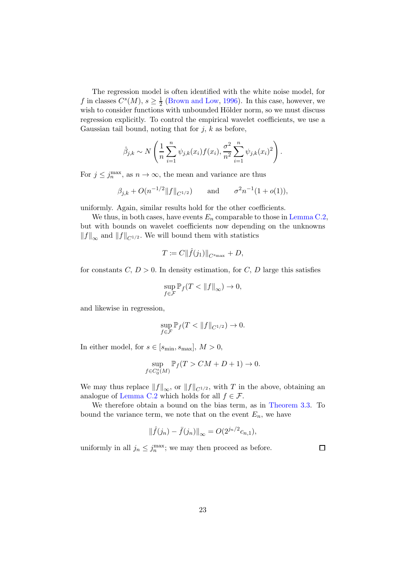The regression model is often identified with the white noise model, for f in classes  $C^{s}(M)$ ,  $s \geq \frac{1}{2}$  $\frac{1}{2}$  [\(Brown and Low,](#page-27-5) [1996](#page-27-5)). In this case, however, we wish to consider functions with unbounded Hölder norm, so we must discuss regression explicitly. To control the empirical wavelet coefficients, we use a Gaussian tail bound, noting that for  $j, k$  as before,

$$
\hat{\beta}_{j,k} \sim N\left(\frac{1}{n}\sum_{i=1}^{n} \psi_{j,k}(x_i) f(x_i), \frac{\sigma^2}{n^2} \sum_{i=1}^{n} \psi_{j,k}(x_i)^2\right).
$$

For  $j \leq j_n^{\max}$ , as  $n \to \infty$ , the mean and variance are thus

$$
\beta_{j,k} + O(n^{-1/2} ||f||_{C^{1/2}})
$$
 and  $\sigma^2 n^{-1} (1 + o(1)),$ 

uniformly. Again, similar results hold for the other coefficients.

We thus, in both cases, have events  $E_n$  comparable to those in [Lemma C.2,](#page-15-1) but with bounds on wavelet coefficients now depending on the unknowns  $||f||_{\infty}$  and  $||f||_{C^{1/2}}$ . We will bound them with statistics

$$
T \coloneqq C ||\hat{f}(j_1)||_{C^{s_{\max}}} + D,
$$

for constants  $C, D > 0$ . In density estimation, for  $C, D$  large this satisfies

$$
\sup_{f\in\mathcal{F}}\mathbb{P}_f(T<\|f\|_\infty)\to 0,
$$

and likewise in regression,

$$
\sup_{f \in \mathcal{F}} \mathbb{P}_f(T < \|f\|_{C^{1/2}}) \to 0.
$$

In either model, for  $s \in [s_{\min}, s_{\max}], M > 0$ ,

$$
\sup_{f \in C_0^s(M)} \mathbb{P}_f(T > CM + D + 1) \to 0.
$$

We may thus replace  $||f||_{\infty}$ , or  $||f||_{C^{1/2}}$ , with T in the above, obtaining an analogue of [Lemma C.2](#page-15-1) which holds for all  $f \in \mathcal{F}$ .

We therefore obtain a bound on the bias term, as in [Theorem 3.3.](#page-9-0) To bound the variance term, we note that on the event  $E_n$ , we have

$$
\|\hat{f}(j_n) - \bar{f}(j_n)\|_{\infty} = O(2^{j_n/2}c_{n,1}),
$$

uniformly in all  $j_n \leq j_n^{\max}$ ; we may then proceed as before.

 $\Box$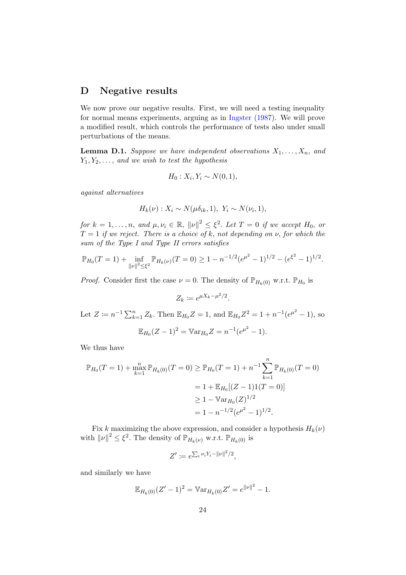### <span id="page-23-0"></span>D Negative results

We now prove our negative results. First, we will need a testing inequality for normal means experiments, arguing as in [Ingster](#page-28-17) [\(1987](#page-28-17)). We will prove a modified result, which controls the performance of tests also under small perturbations of the means.

<span id="page-23-1"></span>**Lemma D.1.** Suppose we have independent observations  $X_1, \ldots, X_n$ , and  $Y_1, Y_2, \ldots$ , and we wish to test the hypothesis

$$
H_0: X_i, Y_i \sim N(0, 1),
$$

against alternatives

$$
H_k(\nu): X_i \sim N(\mu \delta_{ik}, 1), \ Y_i \sim N(\nu_i, 1),
$$

for  $k = 1, ..., n$ , and  $\mu, \nu_i \in \mathbb{R}$ ,  $\|\nu\|^2 \leq \xi^2$ . Let  $T = 0$  if we accept  $H_0$ , or  $T = 1$  if we reject. There is a choice of k, not depending on  $\nu$ , for which the sum of the Type I and Type II errors satisfies

$$
\mathbb{P}_{H_0}(T=1) + \inf_{\|\nu\|^2 \leq \xi^2} \mathbb{P}_{H_k(\nu)}(T=0) \geq 1 - n^{-1/2} (e^{\mu^2} - 1)^{1/2} - (e^{\xi^2} - 1)^{1/2}.
$$

*Proof.* Consider first the case  $\nu = 0$ . The density of  $\mathbb{P}_{H_k(0)}$  w.r.t.  $\mathbb{P}_{H_0}$  is

$$
Z_k := e^{\mu X_k - \mu^2/2}.
$$

Let  $Z := n^{-1} \sum_{k=1}^{n} Z_k$ . Then  $\mathbb{E}_{H_0} Z = 1$ , and  $\mathbb{E}_{H_0} Z^2 = 1 + n^{-1} (e^{\mu^2} - 1)$ , so

$$
\mathbb{E}_{H_0}(Z-1)^2 = \mathbb{V}\text{ar}_{H_0}Z = n^{-1}(e^{\mu^2} - 1).
$$

We thus have

$$
\mathbb{P}_{H_0}(T=1) + \max_{k=1}^n \mathbb{P}_{H_k(0)}(T=0) \ge \mathbb{P}_{H_0}(T=1) + n^{-1} \sum_{k=1}^n \mathbb{P}_{H_k(0)}(T=0)
$$
  
= 1 +  $\mathbb{E}_{H_0}[(Z-1)1(T=0)]$   
 $\ge 1 - \mathbb{V}\text{ar}_{H_0}(Z)^{1/2}$   
= 1 - n<sup>-1/2</sup>(e<sup>u<sup>2</sup></sup> - 1)<sup>1/2</sup>.

Fix k maximizing the above expression, and consider a hypothesis  $H_k(\nu)$ with  $\|\nu\|^2 \leq \xi^2$ . The density of  $\mathbb{P}_{H_k(\nu)}$  w.r.t.  $\mathbb{P}_{H_k(0)}$  is

$$
Z' := e^{\sum_i \nu_i Y_i - ||\nu||^2/2},
$$

and similarly we have

$$
\mathbb{E}_{H_k(0)}(Z'-1)^2 = \mathbb{V}\text{ar}_{H_k(0)}Z' = e^{\|\nu\|^2} - 1.
$$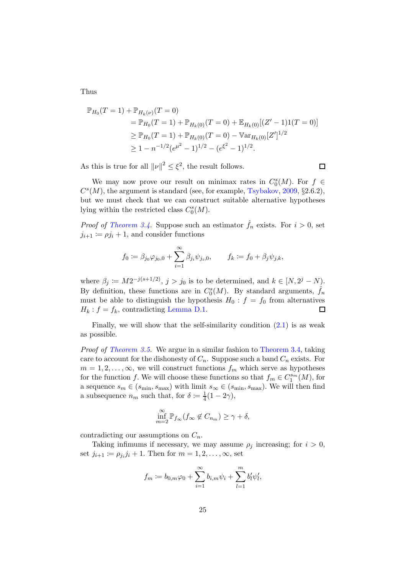Thus

$$
\mathbb{P}_{H_0}(T=1) + \mathbb{P}_{H_k(\nu)}(T=0)
$$
  
=  $\mathbb{P}_{H_0}(T=1) + \mathbb{P}_{H_k(0)}(T=0) + \mathbb{E}_{H_k(0)}[(Z'-1)1(T=0)]$   
 $\geq \mathbb{P}_{H_0}(T=1) + \mathbb{P}_{H_k(0)}(T=0) - \mathbb{V}\text{ar}_{H_k(0)}[Z']^{1/2}$   
 $\geq 1 - n^{-1/2}(e^{\mu^2} - 1)^{1/2} - (e^{\xi^2} - 1)^{1/2}.$ 

As this is true for all  $||\nu||^2 \leq \xi^2$ , the result follows.

We may now prove our result on minimax rates in  $C_0^s(M)$ . For  $f \in$  $C<sup>s</sup>(M)$ , the argument is standard (see, for example, [Tsybakov](#page-28-0), [2009,](#page-28-0) §2.6.2), but we must check that we can construct suitable alternative hypotheses lying within the restricted class  $C_0<sup>s</sup>(M)$ .

□

*Proof of [Theorem 3.4.](#page-9-1)* Suppose such an estimator  $\hat{f}_n$  exists. For  $i > 0$ , set  $j_{i+1} \coloneqq \rho j_i + 1$ , and consider functions

$$
f_0 := \beta_{j_0} \varphi_{j_0,0} + \sum_{i=1}^{\infty} \beta_{j_i} \psi_{j_i,0}, \qquad f_k := f_0 + \beta_j \psi_{j,k},
$$

where  $\beta_j := M2^{-j(s+1/2)}$ ,  $j > j_0$  is to be determined, and  $k \in [N, 2^j - N]$ . By definition, these functions are in  $C_0<sup>s</sup>(M)$ . By standard arguments,  $\hat{f}_n$ must be able to distinguish the hypothesis  $H_0: f = f_0$  from alternatives  $H_k$ :  $f = f_k$ , contradicting [Lemma D.1.](#page-23-1) □

Finally, we will show that the self-similarity condition  $(2.1)$  is as weak as possible.

Proof of [Theorem 3.5.](#page-10-1) We argue in a similar fashion to [Theorem 3.4,](#page-9-1) taking care to account for the dishonesty of  $C_n$ . Suppose such a band  $C_n$  exists. For  $m = 1, 2, \ldots, \infty$ , we will construct functions  $f_m$  which serve as hypotheses for the function f. We will choose these functions so that  $f_m \in C_1^{s_m}(M)$ , for a sequence  $s_m \in (s_{\min}, s_{\max})$  with limit  $s_{\infty} \in (s_{\min}, s_{\max})$ . We will then find a subsequence  $n_m$  such that, for  $\delta := \frac{1}{4}$  $\frac{1}{4}(1-2\gamma),$ 

$$
\inf_{m=2}^{\infty} \mathbb{P}_{f_{\infty}}(f_{\infty} \notin C_{n_m}) \ge \gamma + \delta,
$$

contradicting our assumptions on  $C_n$ .

Taking infimums if necessary, we may assume  $\rho_i$  increasing; for  $i > 0$ , set  $j_{i+1} \coloneqq \rho_{j_i} j_i + 1$ . Then for  $m = 1, 2, \dots, \infty$ , set

$$
f_m := b_{0,m}\varphi_0 + \sum_{i=1}^{\infty} b_{i,m}\psi_i + \sum_{l=1}^{m} b'_l\psi'_l,
$$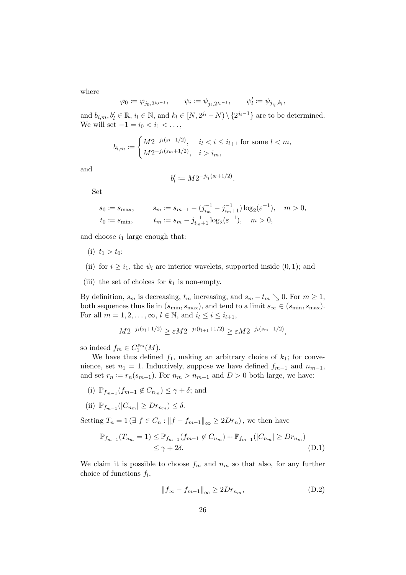where

$$
\varphi_0 := \varphi_{j_0, 2^{j_0 - 1}}, \qquad \psi_i := \psi_{j_i, 2^{j_i - 1}}, \qquad \psi'_l := \psi_{j_{i_l}, k_l},
$$

and  $b_{i,m}, b'_l \in \mathbb{R}, i_l \in \mathbb{N}$ , and  $k_l \in [N, 2^{j_i} - N) \setminus \{2^{j_i-1}\}\$  are to be determined. We will set  $-1 = i_0 < i_1 < \ldots$ ,

$$
b_{i,m} := \begin{cases} M2^{-j_i(s_l+1/2)}, & i_l < i \le i_{l+1} \text{ for some } l < m, \\ M2^{-j_i(s_m+1/2)}, & i > i_m, \end{cases}
$$

and

$$
b'_l \coloneqq M 2^{-j_{i_l}(s_l+1/2)}.
$$

Set

$$
s_0 \coloneqq s_{\max}, \qquad s_m \coloneqq s_{m-1} - (j_{i_m}^{-1} - j_{i_m+1}^{-1}) \log_2(\varepsilon^{-1}), \quad m > 0,
$$
  

$$
t_0 \coloneqq s_{\min}, \qquad t_m \coloneqq s_m - j_{i_m+1}^{-1} \log_2(\varepsilon^{-1}), \quad m > 0,
$$

and choose  $i_1$  large enough that:

- (i)  $t_1 > t_0$ ;
- (ii) for  $i \geq i_1$ , the  $\psi_i$  are interior wavelets, supported inside  $(0, 1)$ ; and
- (iii) the set of choices for  $k_1$  is non-empty.

By definition,  $s_m$  is decreasing,  $t_m$  increasing, and  $s_m - t_m \searrow 0$ . For  $m \ge 1$ , both sequences thus lie in  $(s_{\min}, s_{\max})$ , and tend to a limit  $s_{\infty} \in (s_{\min}, s_{\max})$ . For all  $m = 1, 2, \ldots, \infty, l \in \mathbb{N}$ , and  $i_l \leq i \leq i_{l+1}$ ,

$$
M2^{-j_i(s_l+1/2)} \ge \varepsilon M2^{-j_i(t_{l+1}+1/2)} \ge \varepsilon M2^{-j_i(s_m+1/2)},
$$

so indeed  $f_m \in C_1^{s_m}(M)$ .

We have thus defined  $f_1$ , making an arbitrary choice of  $k_1$ ; for convenience, set  $n_1 = 1$ . Inductively, suppose we have defined  $f_{m-1}$  and  $n_{m-1}$ , and set  $r_n \coloneqq r_n(s_{m-1})$ . For  $n_m > n_{m-1}$  and  $D > 0$  both large, we have:

- (i)  $\mathbb{P}_{f_{m-1}}(f_{m-1}\not\in C_{n_m}) \leq \gamma + \delta$ ; and
- (ii)  $\mathbb{P}_{f_{m-1}}(|C_{n_m}| \geq Dr_{n_m}) \leq \delta.$

Setting  $T_n = 1$  ( $\exists f \in C_n$ :  $||f - f_{m-1}||_{\infty} \geq 2Dr_n$ ), we then have

$$
\mathbb{P}_{f_{m-1}}(T_{n_m} = 1) \leq \mathbb{P}_{f_{m-1}}(f_{m-1} \notin C_{n_m}) + \mathbb{P}_{f_{m-1}}(|C_{n_m}| \geq Dr_{n_m})
$$
  
\n
$$
\leq \gamma + 2\delta.
$$
 (D.1)

We claim it is possible to choose  $f_m$  and  $n_m$  so that also, for any further choice of functions  $f_l$ ,

<span id="page-25-1"></span><span id="page-25-0"></span>
$$
||f_{\infty} - f_{m-1}||_{\infty} \ge 2Dr_{n_m},
$$
\n(D.2)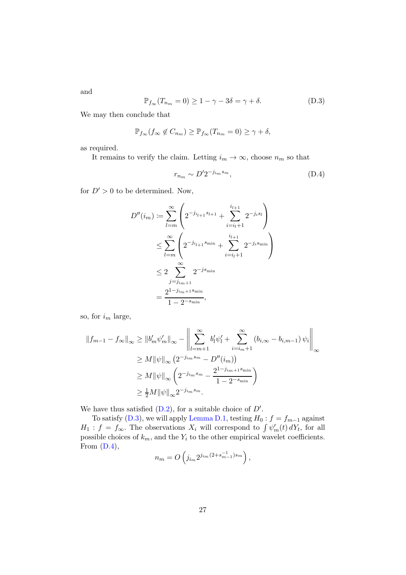and

<span id="page-26-0"></span>
$$
\mathbb{P}_{f_{\infty}}(T_{n_m} = 0) \ge 1 - \gamma - 3\delta = \gamma + \delta.
$$
 (D.3)

We may then conclude that

$$
\mathbb{P}_{f_{\infty}}(f_{\infty} \notin C_{n_m}) \geq \mathbb{P}_{f_{\infty}}(T_{n_m} = 0) \geq \gamma + \delta,
$$

as required.

It remains to verify the claim. Letting  $i_m \to \infty$ , choose  $n_m$  so that

<span id="page-26-1"></span>
$$
r_{n_m} \sim D' 2^{-j_{im} s_m},\tag{D.4}
$$

for  $D' > 0$  to be determined. Now,

$$
D''(i_m) := \sum_{l=m}^{\infty} \left( 2^{-j_{i_{l+1}} s_{l+1}} + \sum_{i=i_l+1}^{i_{l+1}} 2^{-j_i s_l} \right)
$$
  

$$
\leq \sum_{l=m}^{\infty} \left( 2^{-j_{i_{l+1}} s_{\min}} + \sum_{i=i_l+1}^{i_{l+1}} 2^{-j_i s_{\min}} \right)
$$
  

$$
\leq 2 \sum_{j=j_{im+1}}^{\infty} 2^{-j s_{\min}}
$$
  

$$
= \frac{2^{1-j_{im+1} s_{\min}}}{1 - 2^{-s_{\min}}},
$$

so, for  $i_m$  large,

$$
||f_{m-1} - f_{\infty}||_{\infty} \ge ||b'_{m}\psi'_{m}||_{\infty} - \left\| \sum_{l=m+1}^{\infty} b'_{l}\psi'_{l} + \sum_{i=i_{m}+1}^{\infty} (b_{i,\infty} - b_{i,m-1}) \psi_{i} \right\|_{\infty}
$$
  
\n
$$
\ge M ||\psi||_{\infty} \left( 2^{-j_{im} s_{m}} - D''(i_{m}) \right)
$$
  
\n
$$
\ge M ||\psi||_{\infty} \left( 2^{-j_{im} s_{m}} - \frac{2^{1-j_{im+1} s_{\min}}}{1 - 2^{-s_{\min}}} \right)
$$
  
\n
$$
\ge \frac{1}{2} M ||\psi||_{\infty} 2^{-j_{im} s_{m}}.
$$

We have thus satisfied  $(D.2)$ , for a suitable choice of  $D'$ .

To satisfy [\(D.3\)](#page-26-0), we will apply [Lemma D.1,](#page-23-1) testing  $H_0: f = f_{m-1}$  against  $H_1: f = f_{\infty}$ . The observations  $X_i$  will correspond to  $\int \psi'_m(t) dY_t$ , for all possible choices of  $k_m$ , and the  $Y_i$  to the other empirical wavelet coefficients. From  $(D.4)$ ,

$$
n_m = O\left(j_{i_m} 2^{j_{i_m} (2 + s_{m-1}^{-1}) s_m}\right),
$$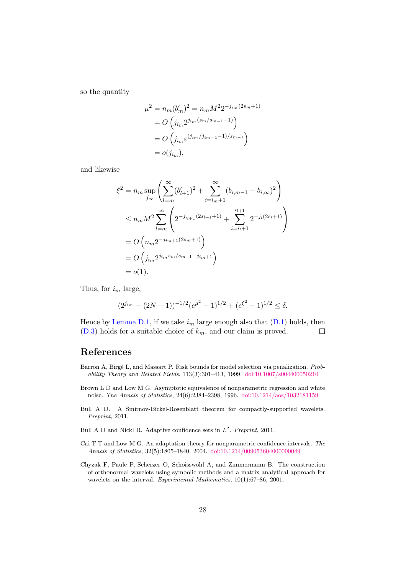so the quantity

$$
\mu^{2} = n_{m}(b'_{m})^{2} = n_{m}M^{2}2^{-j_{i_{m}}(2s_{m}+1)}
$$
  
=  $O\left(j_{i_{m}}2^{j_{i_{m}}(s_{m}/s_{m-1}-1)}\right)$   
=  $O\left(j_{i_{m}}\varepsilon^{(j_{i_{m}}/j_{i_{m}-1}-1)/s_{m-1}}\right)$   
=  $o(j_{i_{m}}),$ 

and likewise

$$
\xi^{2} = n_{m} \sup_{f_{\infty}} \left( \sum_{l=m}^{\infty} (b'_{l+1})^{2} + \sum_{i=i_{m}+1}^{\infty} (b_{i,m-1} - b_{i,\infty})^{2} \right)
$$
  
\n
$$
\leq n_{m} M^{2} \sum_{l=m}^{\infty} \left( 2^{-j_{i_{l+1}}(2s_{l+1}+1)} + \sum_{i=i_{l}+1}^{i_{l+1}} 2^{-j_{i}(2s_{l}+1)} \right)
$$
  
\n
$$
= O\left( n_{m} 2^{-j_{i_{m}+1}(2s_{m}+1)} \right)
$$
  
\n
$$
= O\left( j_{i_{m}} 2^{j_{i_{m}} s_{m}/s_{m-1} - j_{i_{m}+1}} \right)
$$
  
\n
$$
= o(1).
$$

Thus, for  $i_m$  large,

$$
(2^{j_{im}} - (2N+1))^{-1/2} (e^{\mu^2} - 1)^{1/2} + (e^{\xi^2} - 1)^{1/2} \le \delta.
$$

Hence by [Lemma D.1,](#page-23-1) if we take  $i_m$  large enough also that  $(D.1)$  holds, then  $(D.3)$  holds for a suitable choice of  $k<sub>m</sub>$ , and our claim is proved.  $\Box$ 

## References

- <span id="page-27-0"></span>Barron A, Birgé L, and Massart P. Risk bounds for model selection via penalization. Probability Theory and Related Fields, 113(3):301–413, 1999. [doi:10.1007/s004400050210](http://dx.doi.org/10.1007/s004400050210)
- <span id="page-27-5"></span>Brown L D and Low M G. Asymptotic equivalence of nonparametric regression and white noise. The Annals of Statistics, 24(6):2384–2398, 1996. [doi:10.1214/aos/1032181159](http://dx.doi.org/10.1214/aos/1032181159)
- <span id="page-27-3"></span>Bull A D. A Smirnov-Bickel-Rosenblatt theorem for compactly-supported wavelets. Preprint, 2011.
- <span id="page-27-4"></span>Bull A D and Nickl R. Adaptive confidence sets in  $L^2$ . Preprint, 2011.
- <span id="page-27-1"></span>Cai T T and Low M G. An adaptation theory for nonparametric confidence intervals. The Annals of Statistics, 32(5):1805–1840, 2004. [doi:10.1214/009053604000000049](http://dx.doi.org/10.1214/009053604000000049)
- <span id="page-27-2"></span>Chyzak F, Paule P, Scherzer O, Schoisswohl A, and Zimmermann B. The construction of orthonormal wavelets using symbolic methods and a matrix analytical approach for wavelets on the interval. Experimental Mathematics, 10(1):67–86, 2001.